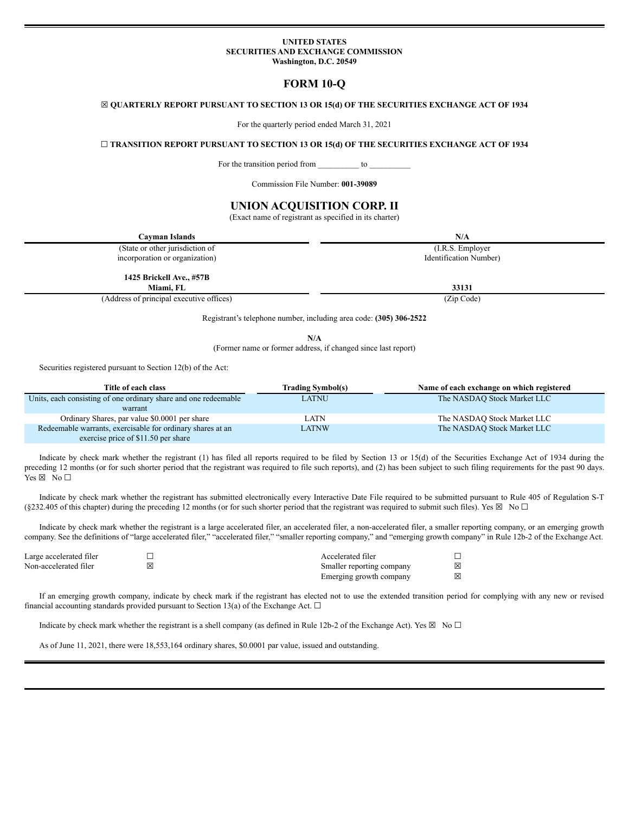### **UNITED STATES SECURITIES AND EXCHANGE COMMISSION Washington, D.C. 20549**

# **FORM 10-Q**

#### ☒ **QUARTERLY REPORT PURSUANT TO SECTION 13 OR 15(d) OF THE SECURITIES EXCHANGE ACT OF 1934**

For the quarterly period ended March 31, 2021

☐ **TRANSITION REPORT PURSUANT TO SECTION 13 OR 15(d) OF THE SECURITIES EXCHANGE ACT OF 1934**

For the transition period from \_\_\_\_\_\_\_\_\_\_\_ to \_

Commission File Number: **001-39089**

# **UNION ACQUISITION CORP. II**

(Exact name of registrant as specified in its charter)

| Cayman Islands                           | N/A                    |
|------------------------------------------|------------------------|
| (State or other jurisdiction of          | (I.R.S. Employer)      |
| incorporation or organization)           | Identification Number) |
| 1425 Brickell Ave., #57B<br>Miami. FL    | 33131                  |
| (Address of principal executive offices) | (Zip Code)             |

Registrant's telephone number, including area code: **(305) 306-2522**

**N/A**

(Former name or former address, if changed since last report)

Securities registered pursuant to Section 12(b) of the Act:

| Title of each class                                             | <b>Trading Symbol(s)</b> | Name of each exchange on which registered |
|-----------------------------------------------------------------|--------------------------|-------------------------------------------|
| Units, each consisting of one ordinary share and one redeemable | LATNU                    | The NASDAO Stock Market LLC               |
| warrant                                                         |                          |                                           |
| Ordinary Shares, par value \$0.0001 per share                   | LATN                     | The NASDAQ Stock Market LLC               |
| Redeemable warrants, exercisable for ordinary shares at an      | LATNW                    | The NASDAO Stock Market LLC               |
| exercise price of \$11.50 per share                             |                          |                                           |

Indicate by check mark whether the registrant (1) has filed all reports required to be filed by Section 13 or 15(d) of the Securities Exchange Act of 1934 during the preceding 12 months (or for such shorter period that the registrant was required to file such reports), and (2) has been subject to such filing requirements for the past 90 days. Yes ⊠ No □

Indicate by check mark whether the registrant has submitted electronically every Interactive Date File required to be submitted pursuant to Rule 405 of Regulation S-T (§232.405 of this chapter) during the preceding 12 months (or for such shorter period that the registrant was required to submit such files). Yes  $\boxtimes$  No  $\Box$ 

Indicate by check mark whether the registrant is a large accelerated filer, an accelerated filer, a non-accelerated filer, a smaller reporting company, or an emerging growth company. See the definitions of "large accelerated filer," "accelerated filer," "smaller reporting company," and "emerging growth company" in Rule 12b-2 of the Exchange Act.

| Large accelerated filer |   | Accelerated filer         |   |
|-------------------------|---|---------------------------|---|
| Non-accelerated filer   | 冈 | Smaller reporting company | 冈 |
|                         |   | Emerging growth company   | 冈 |

If an emerging growth company, indicate by check mark if the registrant has elected not to use the extended transition period for complying with any new or revised financial accounting standards provided pursuant to Section 13(a) of the Exchange Act.  $\Box$ 

Indicate by check mark whether the registrant is a shell company (as defined in Rule 12b-2 of the Exchange Act). Yes  $\boxtimes$  No  $\Box$ 

As of June 11, 2021, there were 18,553,164 ordinary shares, \$0.0001 par value, issued and outstanding.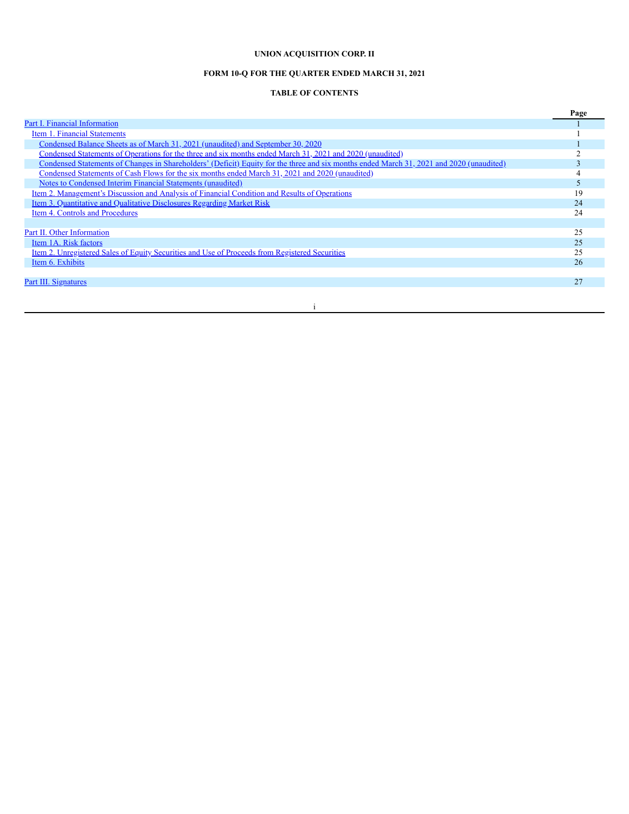# **UNION ACQUISITION CORP. II**

# **FORM 10-Q FOR THE QUARTER ENDED MARCH 31, 2021**

# **TABLE OF CONTENTS**

| <b>Part I. Financial Information</b><br>Item 1. Financial Statements                                                                     |  |
|------------------------------------------------------------------------------------------------------------------------------------------|--|
|                                                                                                                                          |  |
|                                                                                                                                          |  |
| Condensed Balance Sheets as of March 31, 2021 (unaudited) and September 30, 2020                                                         |  |
| Condensed Statements of Operations for the three and six months ended March 31, 2021 and 2020 (unaudited)                                |  |
| Condensed Statements of Changes in Shareholders' (Deficit) Equity for the three and six months ended March 31, 2021 and 2020 (unaudited) |  |
| Condensed Statements of Cash Flows for the six months ended March 31, 2021 and 2020 (unaudited)                                          |  |
| Notes to Condensed Interim Financial Statements (unaudited)                                                                              |  |
| Item 2. Management's Discussion and Analysis of Financial Condition and Results of Operations<br>19                                      |  |
| <u>Item 3. Quantitative and Qualitative Disclosures Regarding Market Risk</u><br>24                                                      |  |
| Item 4. Controls and Procedures<br>24                                                                                                    |  |
|                                                                                                                                          |  |
| 25<br>Part II. Other Information                                                                                                         |  |
| 25<br>Item 1A. Risk factors                                                                                                              |  |
| <u>Item 2. Unregistered Sales of Equity Securities and Use of Proceeds from Registered Securities</u><br>25                              |  |
| 26<br>Item 6. Exhibits                                                                                                                   |  |
|                                                                                                                                          |  |
| 27<br>Part III. Signatures                                                                                                               |  |
|                                                                                                                                          |  |

i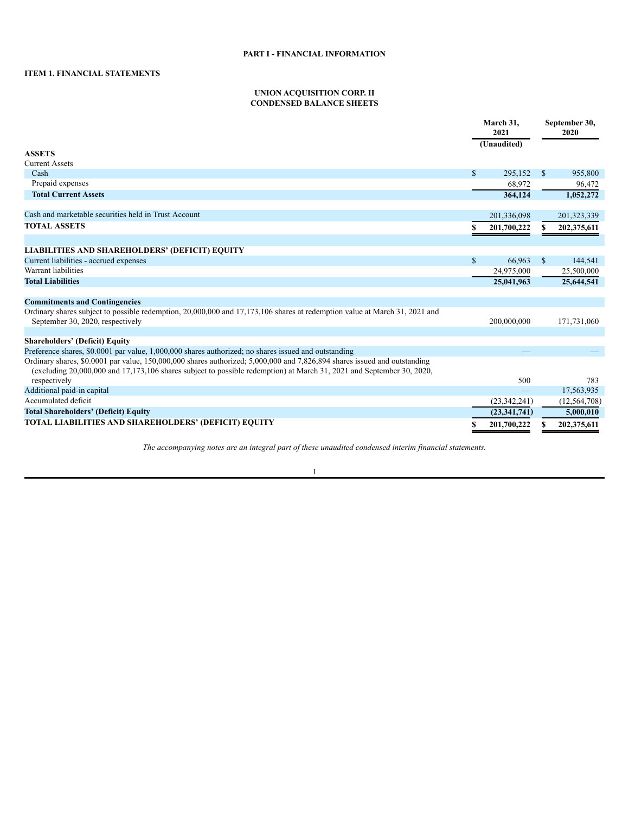# <span id="page-2-2"></span><span id="page-2-1"></span><span id="page-2-0"></span>**ITEM 1. FINANCIAL STATEMENTS**

#### **UNION ACQUISITION CORP. II CONDENSED BALANCE SHEETS**

|                                                                                                                                                                                                                                                    |              | March 31.<br>2021<br>(Unaudited) |              | September 30,<br>2020 |  |
|----------------------------------------------------------------------------------------------------------------------------------------------------------------------------------------------------------------------------------------------------|--------------|----------------------------------|--------------|-----------------------|--|
| <b>ASSETS</b>                                                                                                                                                                                                                                      |              |                                  |              |                       |  |
| <b>Current Assets</b>                                                                                                                                                                                                                              |              |                                  |              |                       |  |
| Cash                                                                                                                                                                                                                                               | $\mathbb{S}$ | 295,152                          | $\mathbb{S}$ | 955,800               |  |
| Prepaid expenses                                                                                                                                                                                                                                   |              | 68,972                           |              | 96,472                |  |
| <b>Total Current Assets</b>                                                                                                                                                                                                                        |              | 364,124                          |              | 1.052.272             |  |
| Cash and marketable securities held in Trust Account                                                                                                                                                                                               |              | 201,336,098                      |              | 201, 323, 339         |  |
| <b>TOTAL ASSETS</b>                                                                                                                                                                                                                                |              | 201,700,222                      | S            | 202,375,611           |  |
| <b>LIABILITIES AND SHAREHOLDERS' (DEFICIT) EQUITY</b>                                                                                                                                                                                              |              |                                  |              |                       |  |
| Current liabilities - accrued expenses                                                                                                                                                                                                             | $\mathbb{S}$ | 66,963                           | $\mathbb{S}$ | 144,541               |  |
| Warrant liabilities                                                                                                                                                                                                                                |              | 24,975,000                       |              | 25,500,000            |  |
| <b>Total Liabilities</b>                                                                                                                                                                                                                           |              | 25,041,963                       |              | 25,644,541            |  |
| <b>Commitments and Contingencies</b>                                                                                                                                                                                                               |              |                                  |              |                       |  |
| Ordinary shares subject to possible redemption, 20,000,000 and 17,173,106 shares at redemption value at March 31, 2021 and<br>September 30, 2020, respectively                                                                                     |              | 200,000,000                      |              | 171,731,060           |  |
| <b>Shareholders' (Deficit) Equity</b>                                                                                                                                                                                                              |              |                                  |              |                       |  |
| Preference shares, \$0.0001 par value, 1,000,000 shares authorized; no shares issued and outstanding                                                                                                                                               |              |                                  |              |                       |  |
| Ordinary shares, \$0.0001 par value, 150,000,000 shares authorized; 5,000,000 and 7,826,894 shares issued and outstanding<br>(excluding 20,000,000 and 17,173,106 shares subject to possible redemption) at March 31, 2021 and September 30, 2020, |              |                                  |              |                       |  |
| respectively                                                                                                                                                                                                                                       |              | 500                              |              | 783                   |  |
| Additional paid-in capital<br>Accumulated deficit                                                                                                                                                                                                  |              |                                  |              | 17,563,935            |  |
|                                                                                                                                                                                                                                                    |              | (23,342,241)                     |              | (12, 564, 708)        |  |
| <b>Total Shareholders' (Deficit) Equity</b>                                                                                                                                                                                                        |              | (23, 341, 741)                   |              | 5,000,010             |  |
| TOTAL LIABILITIES AND SHAREHOLDERS' (DEFICIT) EQUITY                                                                                                                                                                                               |              | 201,700,222                      |              | 202,375,611           |  |

*The accompanying notes are an integral part of these unaudited condensed interim financial statements.*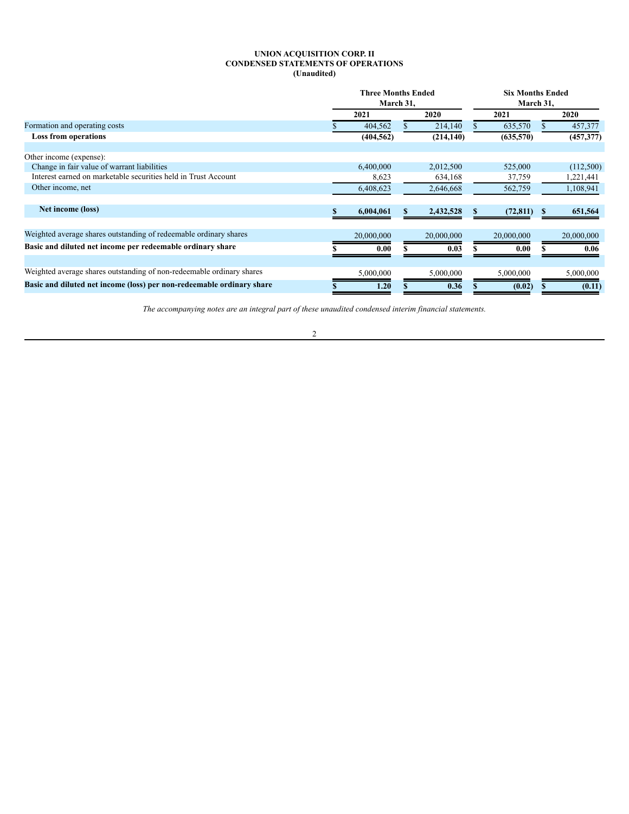## **UNION ACQUISITION CORP. II CONDENSED STATEMENTS OF OPERATIONS (Unaudited)**

<span id="page-3-0"></span>

|                                                                       | <b>Three Months Ended</b><br>March 31, |            |  |            | <b>Six Months Ended</b><br>March 31, |            |  |            |
|-----------------------------------------------------------------------|----------------------------------------|------------|--|------------|--------------------------------------|------------|--|------------|
|                                                                       |                                        | 2021       |  | 2020       |                                      | 2021       |  | 2020       |
| Formation and operating costs                                         |                                        | 404,562    |  | 214,140    |                                      | 635,570    |  | 457,377    |
| <b>Loss from operations</b>                                           |                                        | (404, 562) |  | (214, 140) |                                      | (635,570)  |  | (457,377)  |
| Other income (expense):                                               |                                        |            |  |            |                                      |            |  |            |
| Change in fair value of warrant liabilities                           |                                        | 6,400,000  |  | 2,012,500  |                                      | 525,000    |  | (112,500)  |
| Interest earned on marketable securities held in Trust Account        |                                        | 8,623      |  | 634,168    |                                      | 37,759     |  | 1,221,441  |
| Other income, net                                                     |                                        | 6,408,623  |  | 2,646,668  |                                      | 562,759    |  | 1,108,941  |
| Net income (loss)                                                     |                                        | 6,004,061  |  | 2,432,528  |                                      | (72, 811)  |  | 651,564    |
| Weighted average shares outstanding of redeemable ordinary shares     |                                        | 20,000,000 |  | 20,000,000 |                                      | 20,000,000 |  | 20,000,000 |
| Basic and diluted net income per redeemable ordinary share            |                                        | 0.00       |  | 0.03       |                                      | 0.00       |  | 0.06       |
| Weighted average shares outstanding of non-redeemable ordinary shares |                                        | 5,000,000  |  | 5,000,000  |                                      | 5,000,000  |  | 5,000,000  |
|                                                                       |                                        |            |  |            |                                      |            |  |            |
| Basic and diluted net income (loss) per non-redeemable ordinary share |                                        | 1.20       |  | 0.36       |                                      | (0.02)     |  | (0.11)     |

*The accompanying notes are an integral part of these unaudited condensed interim financial statements.*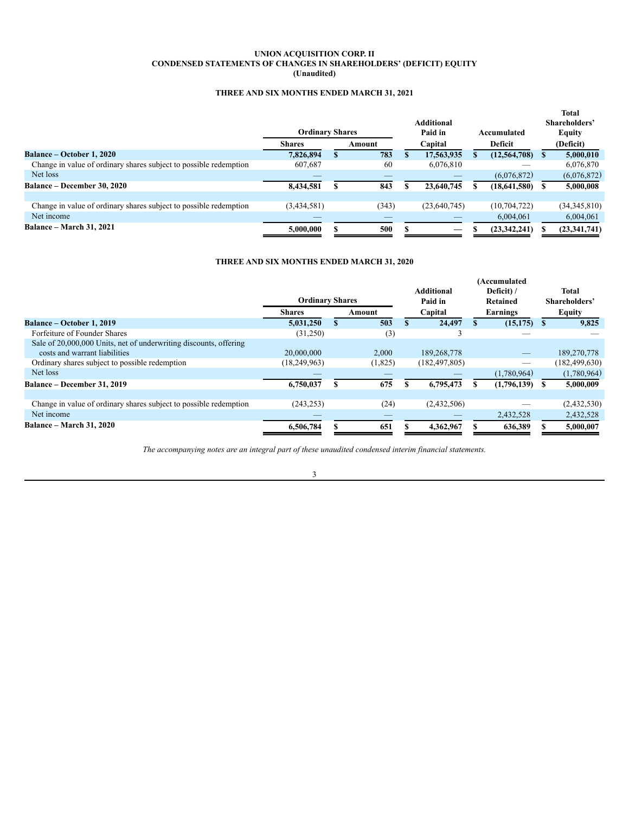## **UNION ACQUISITION CORP. II CONDENSED STATEMENTS OF CHANGES IN SHAREHOLDERS' (DEFICIT) EQUITY (Unaudited)**

# **THREE AND SIX MONTHS ENDED MARCH 31, 2021**

<span id="page-4-0"></span>

|                                                                   |                        |   |        |                   |             |                | <b>Total</b>   |  |
|-------------------------------------------------------------------|------------------------|---|--------|-------------------|-------------|----------------|----------------|--|
|                                                                   |                        |   |        | <b>Additional</b> |             |                | Shareholders'  |  |
|                                                                   | <b>Ordinary Shares</b> |   |        | Paid in           | Accumulated |                | <b>Equity</b>  |  |
|                                                                   | <b>Shares</b>          |   | Amount | Capital           | Deficit     |                | (Deficit)      |  |
| <b>Balance – October 1, 2020</b>                                  | 7.826.894              | ъ | 783    | 17,563,935        |             | (12, 564, 708) | 5,000,010      |  |
| Change in value of ordinary shares subject to possible redemption | 607,687                |   | 60     | 6,076,810         |             |                | 6,076,870      |  |
| Net loss                                                          |                        |   |        |                   |             | (6,076,872)    | (6,076,872)    |  |
| <b>Balance – December 30, 2020</b>                                | 8,434,581              | S | 843    | 23,640,745        |             | (18, 641, 580) | 5,000,008      |  |
|                                                                   |                        |   |        |                   |             |                |                |  |
| Change in value of ordinary shares subject to possible redemption | (3,434,581)            |   | (343)  | (23,640,745)      |             | (10, 704, 722) | (34,345,810)   |  |
| Net income                                                        |                        |   |        |                   |             | 6,004,061      | 6,004,061      |  |
| <b>Balance – March 31, 2021</b>                                   | 5,000,000              |   | 500    |                   |             | (23, 342, 241) | (23, 341, 741) |  |

## **THREE AND SIX MONTHS ENDED MARCH 31, 2020**

|                                                                   |                        |   |         | (Accumulated |                   |          |             |  |                 |
|-------------------------------------------------------------------|------------------------|---|---------|--------------|-------------------|----------|-------------|--|-----------------|
|                                                                   |                        |   |         |              | <b>Additional</b> |          | Deficit) /  |  | <b>Total</b>    |
|                                                                   | <b>Ordinary Shares</b> |   |         |              | Paid in           | Retained |             |  | Shareholders'   |
|                                                                   | <b>Shares</b>          |   | Amount  |              | Capital           | Earnings |             |  | <b>Equity</b>   |
| <b>Balance – October 1, 2019</b>                                  | 5,031,250              | S | 503     |              | 24,497            |          | (15, 175)   |  | 9,825           |
| Forfeiture of Founder Shares                                      | (31,250)               |   | (3)     |              |                   |          |             |  |                 |
| Sale of 20,000,000 Units, net of underwriting discounts, offering |                        |   |         |              |                   |          |             |  |                 |
| costs and warrant liabilities                                     | 20,000,000             |   | 2,000   |              | 189,268,778       |          |             |  | 189,270,778     |
| Ordinary shares subject to possible redemption                    | (18, 249, 963)         |   | (1,825) |              | (182, 497, 805)   |          |             |  | (182, 499, 630) |
| Net loss                                                          |                        |   |         |              |                   |          | (1,780,964) |  | (1,780,964)     |
| <b>Balance – December 31, 2019</b>                                | 6,750,037              | ъ | 675     |              | 6,795,473         |          | (1,796,139) |  | 5,000,009       |
|                                                                   |                        |   |         |              |                   |          |             |  |                 |
| Change in value of ordinary shares subject to possible redemption | (243, 253)             |   | (24)    |              | (2,432,506)       |          |             |  | (2,432,530)     |
| Net income                                                        |                        |   |         |              |                   |          | 2,432,528   |  | 2,432,528       |
| <b>Balance – March 31, 2020</b>                                   | 6,506,784              |   | 651     |              | 4,362,967         |          | 636,389     |  | 5,000,007       |

*The accompanying notes are an integral part of these unaudited condensed interim financial statements.*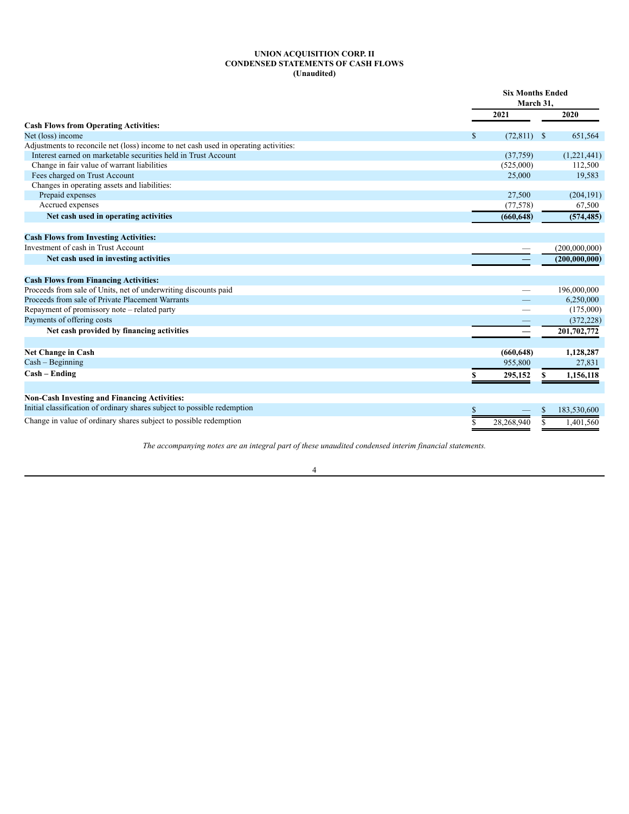## **UNION ACQUISITION CORP. II CONDENSED STATEMENTS OF CASH FLOWS (Unaudited)**

<span id="page-5-0"></span>

|                                                                                      |                 | <b>Six Months Ended</b><br>March 31. |
|--------------------------------------------------------------------------------------|-----------------|--------------------------------------|
|                                                                                      | 2021            | 2020                                 |
| <b>Cash Flows from Operating Activities:</b>                                         |                 |                                      |
| Net (loss) income                                                                    | (72, 811)<br>\$ | 651,564<br>\$                        |
| Adjustments to reconcile net (loss) income to net cash used in operating activities: |                 |                                      |
| Interest earned on marketable securities held in Trust Account                       | (37,759)        | (1,221,441)                          |
| Change in fair value of warrant liabilities                                          | (525,000)       | 112,500                              |
| Fees charged on Trust Account                                                        | 25,000          | 19,583                               |
| Changes in operating assets and liabilities:                                         |                 |                                      |
| Prepaid expenses                                                                     | 27,500          | (204, 191)                           |
| Accrued expenses                                                                     | (77, 578)       | 67,500                               |
| Net cash used in operating activities                                                | (660, 648)      | (574, 485)                           |
| <b>Cash Flows from Investing Activities:</b>                                         |                 |                                      |
| Investment of cash in Trust Account                                                  |                 | (200,000,000)                        |
| Net cash used in investing activities                                                |                 | (200,000,000)                        |
| <b>Cash Flows from Financing Activities:</b>                                         |                 |                                      |
| Proceeds from sale of Units, net of underwriting discounts paid                      |                 | 196,000,000                          |
| Proceeds from sale of Private Placement Warrants                                     |                 | 6,250,000                            |
| Repayment of promissory note – related party                                         |                 | (175,000)                            |
| Payments of offering costs                                                           |                 | (372, 228)                           |
| Net cash provided by financing activities                                            |                 | 201,702,772                          |
| <b>Net Change in Cash</b>                                                            | (660, 648)      | 1,128,287                            |
| $Cash - Beginning$                                                                   | 955,800         | 27,831                               |
| Cash - Ending                                                                        | 295,152         | 1,156,118<br>S                       |
|                                                                                      |                 |                                      |
| <b>Non-Cash Investing and Financing Activities:</b>                                  |                 |                                      |
| Initial classification of ordinary shares subject to possible redemption             | \$              | 183,530,600                          |
| Change in value of ordinary shares subject to possible redemption                    | 28.268.940<br>S | 1,401,560                            |

*The accompanying notes are an integral part of these unaudited condensed interim financial statements.*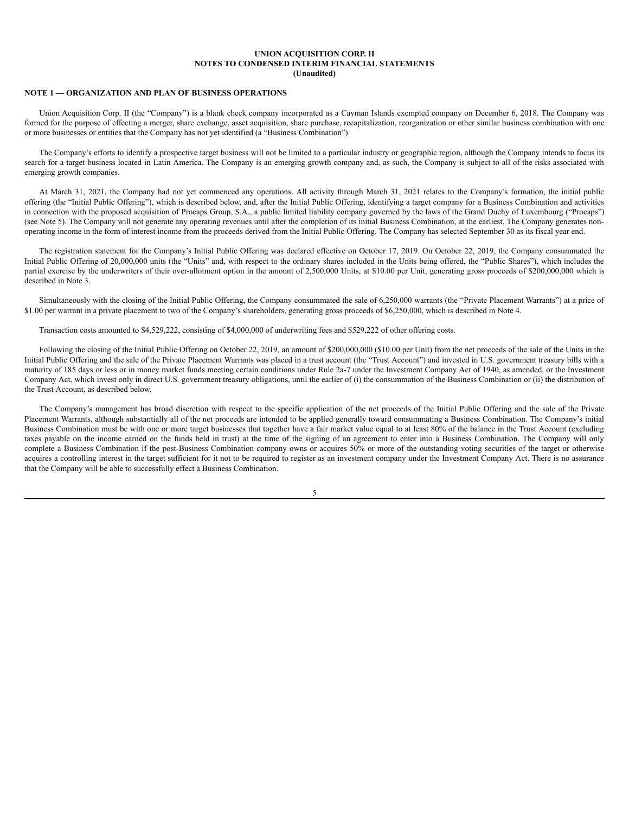### <span id="page-6-0"></span>**NOTE 1 — ORGANIZATION AND PLAN OF BUSINESS OPERATIONS**

Union Acquisition Corp. II (the "Company") is a blank check company incorporated as a Cayman Islands exempted company on December 6, 2018. The Company was formed for the purpose of effecting a merger, share exchange, asset acquisition, share purchase, recapitalization, reorganization or other similar business combination with one or more businesses or entities that the Company has not yet identified (a "Business Combination").

The Company's efforts to identify a prospective target business will not be limited to a particular industry or geographic region, although the Company intends to focus its search for a target business located in Latin America. The Company is an emerging growth company and, as such, the Company is subject to all of the risks associated with emerging growth companies.

At March 31, 2021, the Company had not yet commenced any operations. All activity through March 31, 2021 relates to the Company's formation, the initial public offering (the "Initial Public Offering"), which is described below, and, after the Initial Public Offering, identifying a target company for a Business Combination and activities in connection with the proposed acquisition of Procaps Group, S.A., a public limited liability company governed by the laws of the Grand Duchy of Luxembourg ("Procaps") (see Note 5). The Company will not generate any operating revenues until after the completion of its initial Business Combination, at the earliest. The Company generates nonoperating income in the form of interest income from the proceeds derived from the Initial Public Offering. The Company has selected September 30 as its fiscal year end.

The registration statement for the Company's Initial Public Offering was declared effective on October 17, 2019. On October 22, 2019, the Company consummated the Initial Public Offering of 20,000,000 units (the "Units" and, with respect to the ordinary shares included in the Units being offered, the "Public Shares"), which includes the partial exercise by the underwriters of their over-allotment option in the amount of 2,500,000 Units, at \$10.00 per Unit, generating gross proceeds of \$200,000,000 which is described in Note 3.

Simultaneously with the closing of the Initial Public Offering, the Company consummated the sale of 6,250,000 warrants (the "Private Placement Warrants") at a price of \$1.00 per warrant in a private placement to two of the Company's shareholders, generating gross proceeds of \$6,250,000, which is described in Note 4.

Transaction costs amounted to \$4,529,222, consisting of \$4,000,000 of underwriting fees and \$529,222 of other offering costs.

Following the closing of the Initial Public Offering on October 22, 2019, an amount of \$200,000,000 (\$10.00 per Unit) from the net proceeds of the sale of the Units in the Initial Public Offering and the sale of the Private Placement Warrants was placed in a trust account (the "Trust Account") and invested in U.S. government treasury bills with a maturity of 185 days or less or in money market funds meeting certain conditions under Rule 2a-7 under the Investment Company Act of 1940, as amended, or the Investment Company Act, which invest only in direct U.S. government treasury obligations, until the earlier of (i) the consummation of the Business Combination or (ii) the distribution of the Trust Account, as described below.

The Company's management has broad discretion with respect to the specific application of the net proceeds of the Initial Public Offering and the sale of the Private Placement Warrants, although substantially all of the net proceeds are intended to be applied generally toward consummating a Business Combination. The Company's initial Business Combination must be with one or more target businesses that together have a fair market value equal to at least 80% of the balance in the Trust Account (excluding taxes payable on the income earned on the funds held in trust) at the time of the signing of an agreement to enter into a Business Combination. The Company will only complete a Business Combination if the post-Business Combination company owns or acquires 50% or more of the outstanding voting securities of the target or otherwise acquires a controlling interest in the target sufficient for it not to be required to register as an investment company under the Investment Company Act. There is no assurance that the Company will be able to successfully effect a Business Combination.

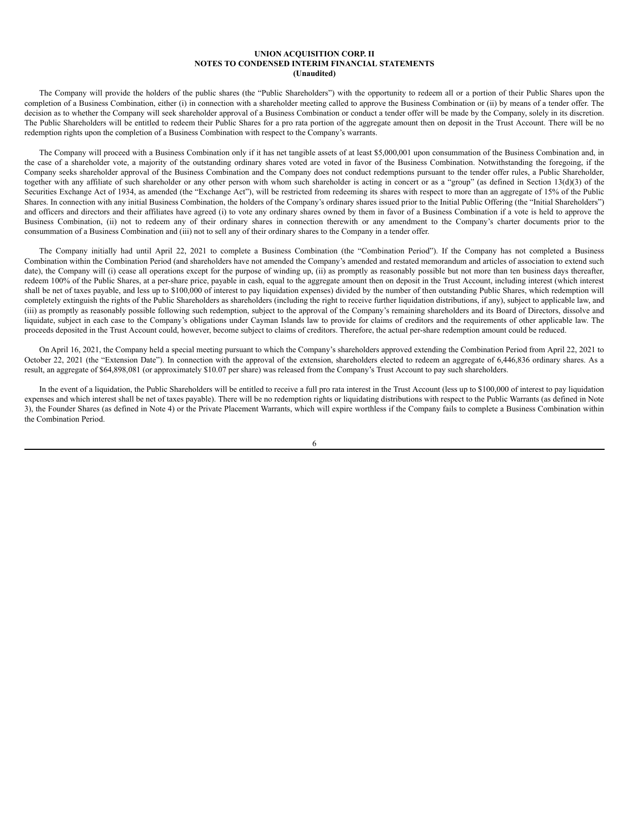The Company will provide the holders of the public shares (the "Public Shareholders") with the opportunity to redeem all or a portion of their Public Shares upon the completion of a Business Combination, either (i) in connection with a shareholder meeting called to approve the Business Combination or (ii) by means of a tender offer. The decision as to whether the Company will seek shareholder approval of a Business Combination or conduct a tender offer will be made by the Company, solely in its discretion. The Public Shareholders will be entitled to redeem their Public Shares for a pro rata portion of the aggregate amount then on deposit in the Trust Account. There will be no redemption rights upon the completion of a Business Combination with respect to the Company's warrants.

The Company will proceed with a Business Combination only if it has net tangible assets of at least \$5,000,001 upon consummation of the Business Combination and, in the case of a shareholder vote, a majority of the outstanding ordinary shares voted are voted in favor of the Business Combination. Notwithstanding the foregoing, if the Company seeks shareholder approval of the Business Combination and the Company does not conduct redemptions pursuant to the tender offer rules, a Public Shareholder, together with any affiliate of such shareholder or any other person with whom such shareholder is acting in concert or as a "group" (as defined in Section 13(d)(3) of the Securities Exchange Act of 1934, as amended (the "Exchange Act"), will be restricted from redeeming its shares with respect to more than an aggregate of 15% of the Public Shares. In connection with any initial Business Combination, the holders of the Company's ordinary shares issued prior to the Initial Public Offering (the "Initial Shareholders") and officers and directors and their affiliates have agreed (i) to vote any ordinary shares owned by them in favor of a Business Combination if a vote is held to approve the Business Combination, (ii) not to redeem any of their ordinary shares in connection therewith or any amendment to the Company's charter documents prior to the consummation of a Business Combination and (iii) not to sell any of their ordinary shares to the Company in a tender offer.

The Company initially had until April 22, 2021 to complete a Business Combination (the "Combination Period"). If the Company has not completed a Business Combination within the Combination Period (and shareholders have not amended the Company's amended and restated memorandum and articles of association to extend such date), the Company will (i) cease all operations except for the purpose of winding up, (ii) as promptly as reasonably possible but not more than ten business days thereafter, redeem 100% of the Public Shares, at a per-share price, payable in cash, equal to the aggregate amount then on deposit in the Trust Account, including interest (which interest shall be net of taxes payable, and less up to \$100,000 of interest to pay liquidation expenses) divided by the number of then outstanding Public Shares, which redemption will completely extinguish the rights of the Public Shareholders as shareholders (including the right to receive further liquidation distributions, if any), subject to applicable law, and (iii) as promptly as reasonably possible following such redemption, subject to the approval of the Company's remaining shareholders and its Board of Directors, dissolve and liquidate, subject in each case to the Company's obligations under Cayman Islands law to provide for claims of creditors and the requirements of other applicable law. The proceeds deposited in the Trust Account could, however, become subject to claims of creditors. Therefore, the actual per-share redemption amount could be reduced.

On April 16, 2021, the Company held a special meeting pursuant to which the Company's shareholders approved extending the Combination Period from April 22, 2021 to October 22, 2021 (the "Extension Date"). In connection with the approval of the extension, shareholders elected to redeem an aggregate of 6,446,836 ordinary shares. As a result, an aggregate of \$64,898,081 (or approximately \$10.07 per share) was released from the Company's Trust Account to pay such shareholders.

In the event of a liquidation, the Public Shareholders will be entitled to receive a full pro rata interest in the Trust Account (less up to \$100,000 of interest to pay liquidation expenses and which interest shall be net of taxes payable). There will be no redemption rights or liquidating distributions with respect to the Public Warrants (as defined in Note 3), the Founder Shares (as defined in Note 4) or the Private Placement Warrants, which will expire worthless if the Company fails to complete a Business Combination within the Combination Period.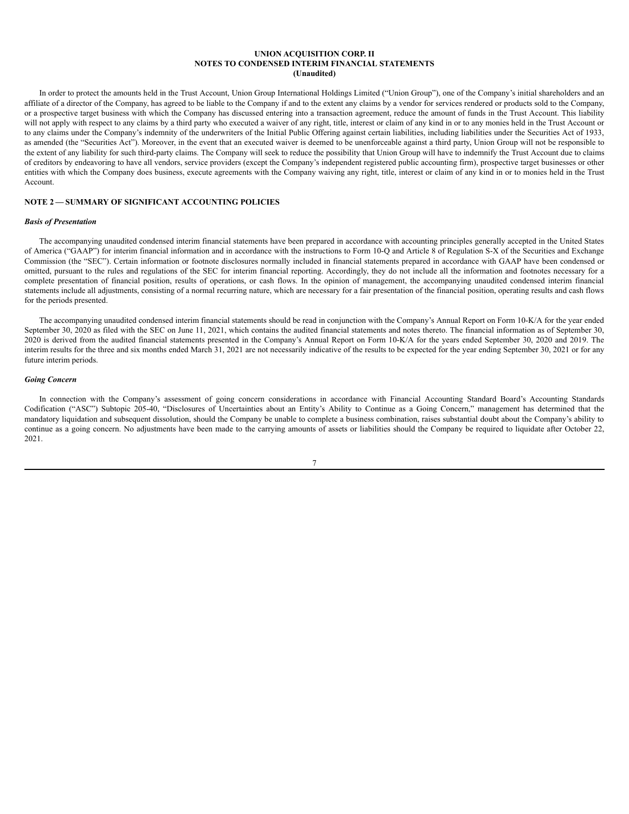In order to protect the amounts held in the Trust Account, Union Group International Holdings Limited ("Union Group"), one of the Company's initial shareholders and an affiliate of a director of the Company, has agreed to be liable to the Company if and to the extent any claims by a vendor for services rendered or products sold to the Company, or a prospective target business with which the Company has discussed entering into a transaction agreement, reduce the amount of funds in the Trust Account. This liability will not apply with respect to any claims by a third party who executed a waiver of any right, title, interest or claim of any kind in or to any monies held in the Trust Account or to any claims under the Company's indemnity of the underwriters of the Initial Public Offering against certain liabilities, including liabilities under the Securities Act of 1933, as amended (the "Securities Act"). Moreover, in the event that an executed waiver is deemed to be unenforceable against a third party, Union Group will not be responsible to the extent of any liability for such third-party claims. The Company will seek to reduce the possibility that Union Group will have to indemnify the Trust Account due to claims of creditors by endeavoring to have all vendors, service providers (except the Company's independent registered public accounting firm), prospective target businesses or other entities with which the Company does business, execute agreements with the Company waiving any right, title, interest or claim of any kind in or to monies held in the Trust Account.

## **NOTE 2 — SUMMARY OF SIGNIFICANT ACCOUNTING POLICIES**

#### *Basis of Presentation*

The accompanying unaudited condensed interim financial statements have been prepared in accordance with accounting principles generally accepted in the United States of America ("GAAP") for interim financial information and in accordance with the instructions to Form 10-Q and Article 8 of Regulation S-X of the Securities and Exchange Commission (the "SEC"). Certain information or footnote disclosures normally included in financial statements prepared in accordance with GAAP have been condensed or omitted, pursuant to the rules and regulations of the SEC for interim financial reporting. Accordingly, they do not include all the information and footnotes necessary for a complete presentation of financial position, results of operations, or cash flows. In the opinion of management, the accompanying unaudited condensed interim financial statements include all adjustments, consisting of a normal recurring nature, which are necessary for a fair presentation of the financial position, operating results and cash flows for the periods presented.

The accompanying unaudited condensed interim financial statements should be read in conjunction with the Company's Annual Report on Form 10-K/A for the year ended September 30, 2020 as filed with the SEC on June 11, 2021, which contains the audited financial statements and notes thereto. The financial information as of September 30, 2020 is derived from the audited financial statements presented in the Company's Annual Report on Form 10-K/A for the years ended September 30, 2020 and 2019. The interim results for the three and six months ended March 31, 2021 are not necessarily indicative of the results to be expected for the year ending September 30, 2021 or for any future interim periods.

### *Going Concern*

In connection with the Company's assessment of going concern considerations in accordance with Financial Accounting Standard Board's Accounting Standards Codification ("ASC") Subtopic 205-40, "Disclosures of Uncertainties about an Entity's Ability to Continue as a Going Concern," management has determined that the mandatory liquidation and subsequent dissolution, should the Company be unable to complete a business combination, raises substantial doubt about the Company's ability to continue as a going concern. No adjustments have been made to the carrying amounts of assets or liabilities should the Company be required to liquidate after October 22, 2021.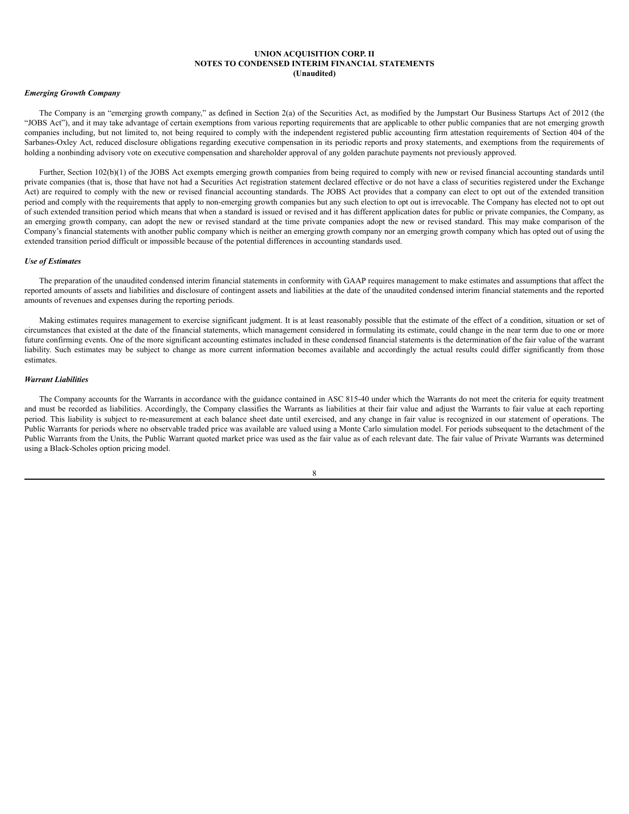#### *Emerging Growth Company*

The Company is an "emerging growth company," as defined in Section 2(a) of the Securities Act, as modified by the Jumpstart Our Business Startups Act of 2012 (the "JOBS Act"), and it may take advantage of certain exemptions from various reporting requirements that are applicable to other public companies that are not emerging growth companies including, but not limited to, not being required to comply with the independent registered public accounting firm attestation requirements of Section 404 of the Sarbanes-Oxley Act, reduced disclosure obligations regarding executive compensation in its periodic reports and proxy statements, and exemptions from the requirements of holding a nonbinding advisory vote on executive compensation and shareholder approval of any golden parachute payments not previously approved.

Further, Section 102(b)(1) of the JOBS Act exempts emerging growth companies from being required to comply with new or revised financial accounting standards until private companies (that is, those that have not had a Securities Act registration statement declared effective or do not have a class of securities registered under the Exchange Act) are required to comply with the new or revised financial accounting standards. The JOBS Act provides that a company can elect to opt out of the extended transition period and comply with the requirements that apply to non-emerging growth companies but any such election to opt out is irrevocable. The Company has elected not to opt out of such extended transition period which means that when a standard is issued or revised and it has different application dates for public or private companies, the Company, as an emerging growth company, can adopt the new or revised standard at the time private companies adopt the new or revised standard. This may make comparison of the Company's financial statements with another public company which is neither an emerging growth company nor an emerging growth company which has opted out of using the extended transition period difficult or impossible because of the potential differences in accounting standards used.

#### *Use of Estimates*

The preparation of the unaudited condensed interim financial statements in conformity with GAAP requires management to make estimates and assumptions that affect the reported amounts of assets and liabilities and disclosure of contingent assets and liabilities at the date of the unaudited condensed interim financial statements and the reported amounts of revenues and expenses during the reporting periods.

Making estimates requires management to exercise significant judgment. It is at least reasonably possible that the estimate of the effect of a condition, situation or set of circumstances that existed at the date of the financial statements, which management considered in formulating its estimate, could change in the near term due to one or more future confirming events. One of the more significant accounting estimates included in these condensed financial statements is the determination of the fair value of the warrant liability. Such estimates may be subject to change as more current information becomes available and accordingly the actual results could differ significantly from those estimates.

#### *Warrant Liabilities*

The Company accounts for the Warrants in accordance with the guidance contained in ASC 815-40 under which the Warrants do not meet the criteria for equity treatment and must be recorded as liabilities. Accordingly, the Company classifies the Warrants as liabilities at their fair value and adjust the Warrants to fair value at each reporting period. This liability is subject to re-measurement at each balance sheet date until exercised, and any change in fair value is recognized in our statement of operations. The Public Warrants for periods where no observable traded price was available are valued using a Monte Carlo simulation model. For periods subsequent to the detachment of the Public Warrants from the Units, the Public Warrant quoted market price was used as the fair value as of each relevant date. The fair value of Private Warrants was determined using a Black-Scholes option pricing model.

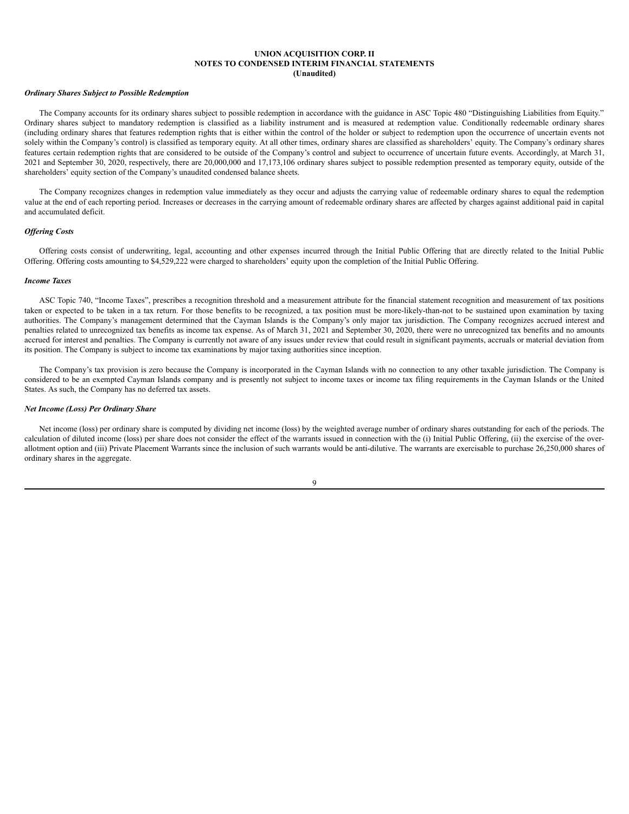#### *Ordinary Shares Subject to Possible Redemption*

The Company accounts for its ordinary shares subject to possible redemption in accordance with the guidance in ASC Topic 480 "Distinguishing Liabilities from Equity." Ordinary shares subject to mandatory redemption is classified as a liability instrument and is measured at redemption value. Conditionally redeemable ordinary shares (including ordinary shares that features redemption rights that is either within the control of the holder or subject to redemption upon the occurrence of uncertain events not solely within the Company's control) is classified as temporary equity. At all other times, ordinary shares are classified as shareholders' equity. The Company's ordinary shares features certain redemption rights that are considered to be outside of the Company's control and subject to occurrence of uncertain future events. Accordingly, at March 31, 2021 and September 30, 2020, respectively, there are 20,000,000 and 17,173,106 ordinary shares subject to possible redemption presented as temporary equity, outside of the shareholders' equity section of the Company's unaudited condensed balance sheets.

The Company recognizes changes in redemption value immediately as they occur and adjusts the carrying value of redeemable ordinary shares to equal the redemption value at the end of each reporting period. Increases or decreases in the carrying amount of redeemable ordinary shares are affected by charges against additional paid in capital and accumulated deficit.

#### *Of ering Costs*

Offering costs consist of underwriting, legal, accounting and other expenses incurred through the Initial Public Offering that are directly related to the Initial Public Offering. Offering costs amounting to \$4,529,222 were charged to shareholders' equity upon the completion of the Initial Public Offering.

#### *Income Taxes*

ASC Topic 740, "Income Taxes", prescribes a recognition threshold and a measurement attribute for the financial statement recognition and measurement of tax positions taken or expected to be taken in a tax return. For those benefits to be recognized, a tax position must be more-likely-than-not to be sustained upon examination by taxing authorities. The Company's management determined that the Cayman Islands is the Company's only major tax jurisdiction. The Company recognizes accrued interest and penalties related to unrecognized tax benefits as income tax expense. As of March 31, 2021 and September 30, 2020, there were no unrecognized tax benefits and no amounts accrued for interest and penalties. The Company is currently not aware of any issues under review that could result in significant payments, accruals or material deviation from its position. The Company is subject to income tax examinations by major taxing authorities since inception.

The Company's tax provision is zero because the Company is incorporated in the Cayman Islands with no connection to any other taxable jurisdiction. The Company is considered to be an exempted Cayman Islands company and is presently not subject to income taxes or income tax filing requirements in the Cayman Islands or the United States. As such, the Company has no deferred tax assets.

### *Net Income (Loss) Per Ordinary Share*

Net income (loss) per ordinary share is computed by dividing net income (loss) by the weighted average number of ordinary shares outstanding for each of the periods. The calculation of diluted income (loss) per share does not consider the effect of the warrants issued in connection with the (i) Initial Public Offering, (ii) the exercise of the overallotment option and (iii) Private Placement Warrants since the inclusion of such warrants would be anti-dilutive. The warrants are exercisable to purchase 26,250,000 shares of ordinary shares in the aggregate.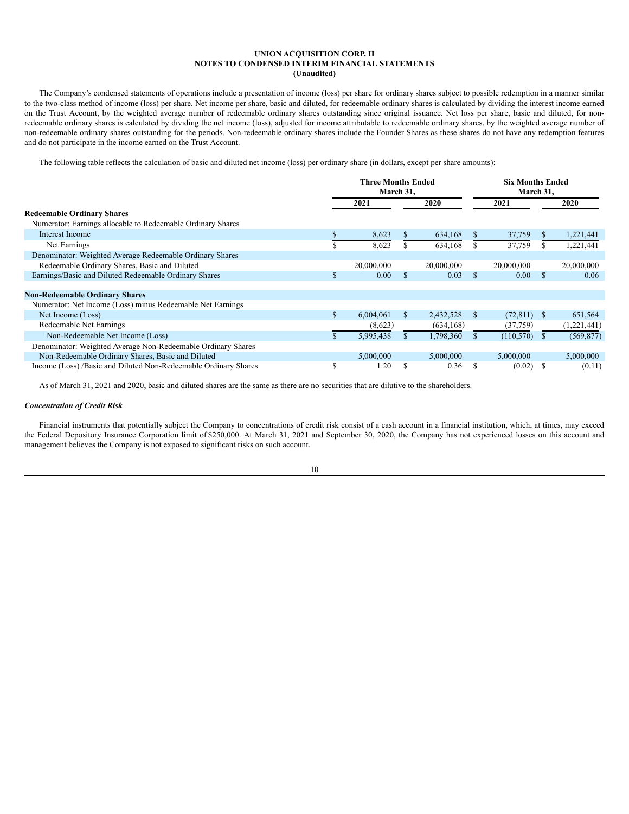The Company's condensed statements of operations include a presentation of income (loss) per share for ordinary shares subject to possible redemption in a manner similar to the two-class method of income (loss) per share. Net income per share, basic and diluted, for redeemable ordinary shares is calculated by dividing the interest income earned on the Trust Account, by the weighted average number of redeemable ordinary shares outstanding since original issuance. Net loss per share, basic and diluted, for nonredeemable ordinary shares is calculated by dividing the net income (loss), adjusted for income attributable to redeemable ordinary shares, by the weighted average number of non-redeemable ordinary shares outstanding for the periods. Non-redeemable ordinary shares include the Founder Shares as these shares do not have any redemption features and do not participate in the income earned on the Trust Account.

The following table reflects the calculation of basic and diluted net income (loss) per ordinary share (in dollars, except per share amounts):

|                                                                 |     | <b>Three Months Ended</b><br>March 31, |               | <b>Six Months Ended</b><br>March 31, |               |                   |     |             |
|-----------------------------------------------------------------|-----|----------------------------------------|---------------|--------------------------------------|---------------|-------------------|-----|-------------|
|                                                                 |     | 2021                                   |               | 2020                                 |               | 2021              |     | 2020        |
| <b>Redeemable Ordinary Shares</b>                               |     |                                        |               |                                      |               |                   |     |             |
| Numerator: Earnings allocable to Redeemable Ordinary Shares     |     |                                        |               |                                      |               |                   |     |             |
| Interest Income                                                 |     | 8,623                                  | S             | 634,168                              |               | 37,759            |     | 1,221,441   |
| Net Earnings                                                    |     | 8,623                                  |               | 634,168                              |               | 37,759            |     | 1,221,441   |
| Denominator: Weighted Average Redeemable Ordinary Shares        |     |                                        |               |                                      |               |                   |     |             |
| Redeemable Ordinary Shares, Basic and Diluted                   |     | 20,000,000                             |               | 20,000,000                           |               | 20,000,000        |     | 20,000,000  |
| Earnings/Basic and Diluted Redeemable Ordinary Shares           | Ъ   | 0.00 <sub>1</sub>                      | <sup>\$</sup> | 0.03                                 | <sup>\$</sup> | 0.00 <sub>1</sub> | \$. | 0.06        |
|                                                                 |     |                                        |               |                                      |               |                   |     |             |
| <b>Non-Redeemable Ordinary Shares</b>                           |     |                                        |               |                                      |               |                   |     |             |
| Numerator: Net Income (Loss) minus Redeemable Net Earnings      |     |                                        |               |                                      |               |                   |     |             |
| Net Income (Loss)                                               | \$. | 6,004,061                              | \$.           | 2,432,528                            | <sup>S</sup>  | $(72,811)$ \$     |     | 651,564     |
| Redeemable Net Earnings                                         |     | (8,623)                                |               | (634, 168)                           |               | (37,759)          |     | (1,221,441) |
| Non-Redeemable Net Income (Loss)                                | S.  | 5,995,438                              |               | 1,798,360                            |               | (110, 570)        |     | (569, 877)  |
| Denominator: Weighted Average Non-Redeemable Ordinary Shares    |     |                                        |               |                                      |               |                   |     |             |
| Non-Redeemable Ordinary Shares, Basic and Diluted               |     | 5,000,000                              |               | 5,000,000                            |               | 5,000,000         |     | 5,000,000   |
| Income (Loss) /Basic and Diluted Non-Redeemable Ordinary Shares | Ф   | 1.20                                   | \$            | 0.36                                 | S             | (0.02)            | ъ   | (0.11)      |

As of March 31, 2021 and 2020, basic and diluted shares are the same as there are no securities that are dilutive to the shareholders.

### *Concentration of Credit Risk*

Financial instruments that potentially subject the Company to concentrations of credit risk consist of a cash account in a financial institution, which, at times, may exceed the Federal Depository Insurance Corporation limit of \$250,000. At March 31, 2021 and September 30, 2020, the Company has not experienced losses on this account and management believes the Company is not exposed to significant risks on such account.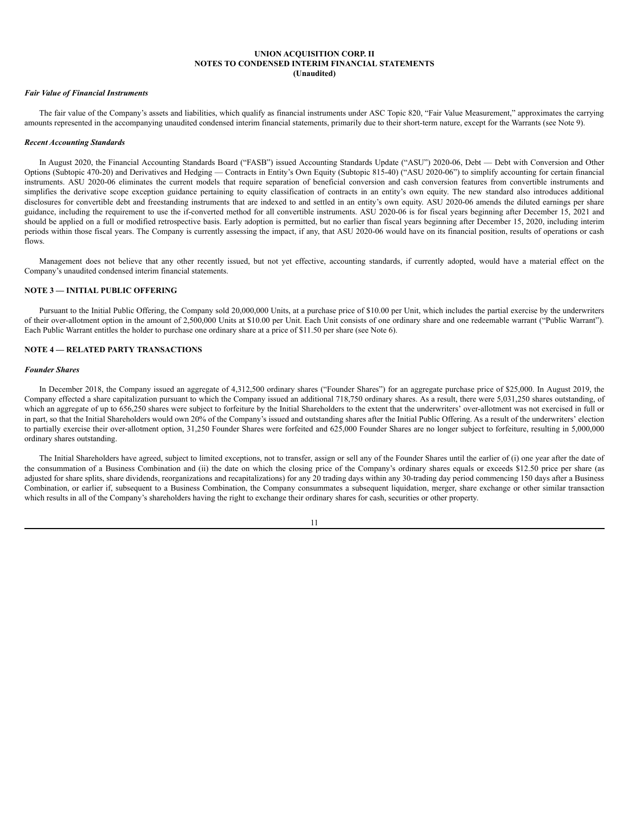#### *Fair Value of Financial Instruments*

The fair value of the Company's assets and liabilities, which qualify as financial instruments under ASC Topic 820, "Fair Value Measurement," approximates the carrying amounts represented in the accompanying unaudited condensed interim financial statements, primarily due to their short-term nature, except for the Warrants (see Note 9).

#### *Recent Accounting Standards*

In August 2020, the Financial Accounting Standards Board ("FASB") issued Accounting Standards Update ("ASU") 2020-06, Debt — Debt with Conversion and Other Options (Subtopic 470-20) and Derivatives and Hedging — Contracts in Entity's Own Equity (Subtopic 815-40) ("ASU 2020-06") to simplify accounting for certain financial instruments. ASU 2020-06 eliminates the current models that require separation of beneficial conversion and cash conversion features from convertible instruments and simplifies the derivative scope exception guidance pertaining to equity classification of contracts in an entity's own equity. The new standard also introduces additional disclosures for convertible debt and freestanding instruments that are indexed to and settled in an entity's own equity. ASU 2020-06 amends the diluted earnings per share guidance, including the requirement to use the if-converted method for all convertible instruments. ASU 2020-06 is for fiscal years beginning after December 15, 2021 and should be applied on a full or modified retrospective basis. Early adoption is permitted, but no earlier than fiscal years beginning after December 15, 2020, including interim periods within those fiscal years. The Company is currently assessing the impact, if any, that ASU 2020-06 would have on its financial position, results of operations or cash flows.

Management does not believe that any other recently issued, but not yet effective, accounting standards, if currently adopted, would have a material effect on the Company's unaudited condensed interim financial statements.

## **NOTE 3 — INITIAL PUBLIC OFFERING**

Pursuant to the Initial Public Offering, the Company sold 20,000,000 Units, at a purchase price of \$10.00 per Unit, which includes the partial exercise by the underwriters of their over-allotment option in the amount of 2,500,000 Units at \$10.00 per Unit. Each Unit consists of one ordinary share and one redeemable warrant ("Public Warrant"). Each Public Warrant entitles the holder to purchase one ordinary share at a price of \$11.50 per share (see Note 6).

## **NOTE 4 — RELATED PARTY TRANSACTIONS**

#### *Founder Shares*

In December 2018, the Company issued an aggregate of 4,312,500 ordinary shares ("Founder Shares") for an aggregate purchase price of \$25,000. In August 2019, the Company effected a share capitalization pursuant to which the Company issued an additional 718,750 ordinary shares. As a result, there were 5,031,250 shares outstanding, of which an aggregate of up to 656,250 shares were subject to forfeiture by the Initial Shareholders to the extent that the underwriters' over-allotment was not exercised in full or in part, so that the Initial Shareholders would own 20% of the Company's issued and outstanding shares after the Initial Public Offering. As a result of the underwriters' election to partially exercise their over-allotment option, 31,250 Founder Shares were forfeited and 625,000 Founder Shares are no longer subject to forfeiture, resulting in 5,000,000 ordinary shares outstanding.

The Initial Shareholders have agreed, subject to limited exceptions, not to transfer, assign or sell any of the Founder Shares until the earlier of (i) one year after the date of the consummation of a Business Combination and (ii) the date on which the closing price of the Company's ordinary shares equals or exceeds \$12.50 price per share (as adjusted for share splits, share dividends, reorganizations and recapitalizations) for any 20 trading days within any 30-trading day period commencing 150 days after a Business Combination, or earlier if, subsequent to a Business Combination, the Company consummates a subsequent liquidation, merger, share exchange or other similar transaction which results in all of the Company's shareholders having the right to exchange their ordinary shares for cash, securities or other property.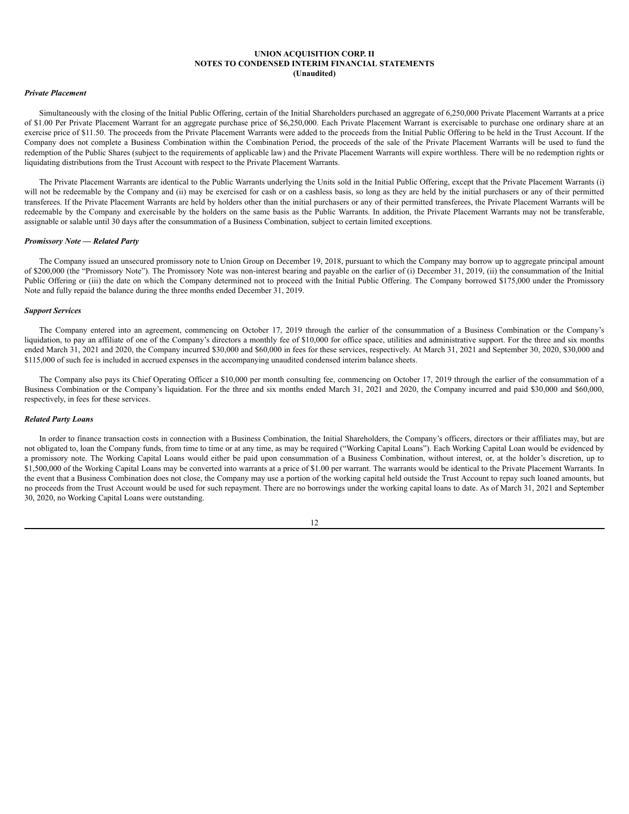#### *Private Placement*

Simultaneously with the closing of the Initial Public Offering, certain of the Initial Shareholders purchased an aggregate of 6,250,000 Private Placement Warrants at a price of \$1.00 Per Private Placement Warrant for an aggregate purchase price of \$6,250,000. Each Private Placement Warrant is exercisable to purchase one ordinary share at an exercise price of \$11.50. The proceeds from the Private Placement Warrants were added to the proceeds from the Initial Public Offering to be held in the Trust Account. If the Company does not complete a Business Combination within the Combination Period, the proceeds of the sale of the Private Placement Warrants will be used to fund the redemption of the Public Shares (subject to the requirements of applicable law) and the Private Placement Warrants will expire worthless. There will be no redemption rights or liquidating distributions from the Trust Account with respect to the Private Placement Warrants.

The Private Placement Warrants are identical to the Public Warrants underlying the Units sold in the Initial Public Offering, except that the Private Placement Warrants (i) will not be redeemable by the Company and (ii) may be exercised for cash or on a cashless basis, so long as they are held by the initial purchasers or any of their permitted transferees. If the Private Placement Warrants are held by holders other than the initial purchasers or any of their permitted transferees, the Private Placement Warrants will be redeemable by the Company and exercisable by the holders on the same basis as the Public Warrants. In addition, the Private Placement Warrants may not be transferable, assignable or salable until 30 days after the consummation of a Business Combination, subject to certain limited exceptions.

#### *Promissory Note — Related Party*

The Company issued an unsecured promissory note to Union Group on December 19, 2018, pursuant to which the Company may borrow up to aggregate principal amount of \$200,000 (the "Promissory Note"). The Promissory Note was non-interest bearing and payable on the earlier of (i) December 31, 2019, (ii) the consummation of the Initial Public Offering or (iii) the date on which the Company determined not to proceed with the Initial Public Offering. The Company borrowed \$175,000 under the Promissory Note and fully repaid the balance during the three months ended December 31, 2019.

## *Support Services*

The Company entered into an agreement, commencing on October 17, 2019 through the earlier of the consummation of a Business Combination or the Company's liquidation, to pay an affiliate of one of the Company's directors a monthly fee of \$10,000 for office space, utilities and administrative support. For the three and six months ended March 31, 2021 and 2020, the Company incurred \$30,000 and \$60,000 in fees for these services, respectively. At March 31, 2021 and September 30, 2020, \$30,000 and \$115,000 of such fee is included in accrued expenses in the accompanying unaudited condensed interim balance sheets.

The Company also pays its Chief Operating Officer a \$10,000 per month consulting fee, commencing on October 17, 2019 through the earlier of the consummation of a Business Combination or the Company's liquidation. For the three and six months ended March 31, 2021 and 2020, the Company incurred and paid \$30,000 and \$60,000, respectively, in fees for these services.

## *Related Party Loans*

In order to finance transaction costs in connection with a Business Combination, the Initial Shareholders, the Company's officers, directors or their affiliates may, but are not obligated to, loan the Company funds, from time to time or at any time, as may be required ("Working Capital Loans"). Each Working Capital Loan would be evidenced by a promissory note. The Working Capital Loans would either be paid upon consummation of a Business Combination, without interest, or, at the holder's discretion, up to \$1,500,000 of the Working Capital Loans may be converted into warrants at a price of \$1.00 per warrant. The warrants would be identical to the Private Placement Warrants. In the event that a Business Combination does not close, the Company may use a portion of the working capital held outside the Trust Account to repay such loaned amounts, but no proceeds from the Trust Account would be used for such repayment. There are no borrowings under the working capital loans to date. As of March 31, 2021 and September 30, 2020, no Working Capital Loans were outstanding.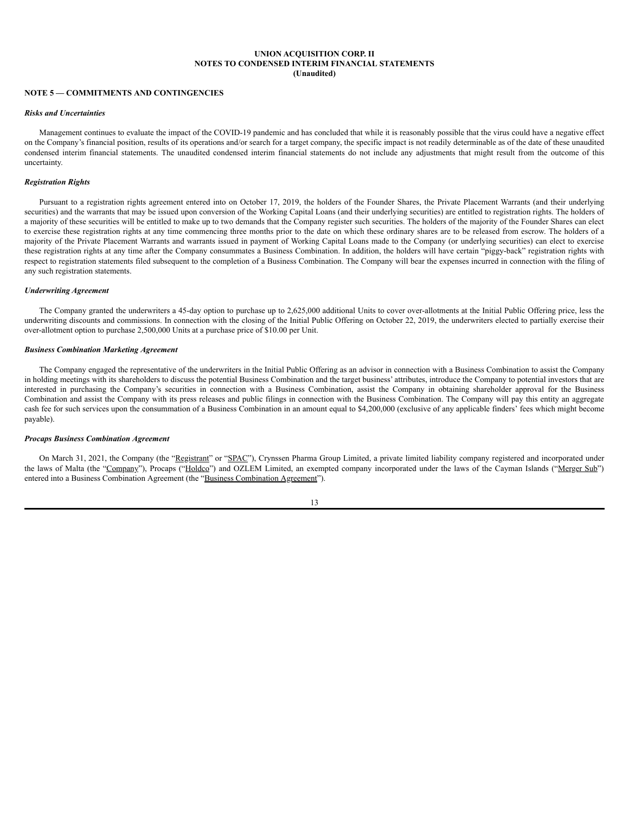### **NOTE 5 — COMMITMENTS AND CONTINGENCIES**

#### *Risks and Uncertainties*

Management continues to evaluate the impact of the COVID-19 pandemic and has concluded that while it is reasonably possible that the virus could have a negative effect on the Company's financial position, results of its operations and/or search for a target company, the specific impact is not readily determinable as of the date of these unaudited condensed interim financial statements. The unaudited condensed interim financial statements do not include any adjustments that might result from the outcome of this uncertainty.

#### *Registration Rights*

Pursuant to a registration rights agreement entered into on October 17, 2019, the holders of the Founder Shares, the Private Placement Warrants (and their underlying securities) and the warrants that may be issued upon conversion of the Working Capital Loans (and their underlying securities) are entitled to registration rights. The holders of a majority of these securities will be entitled to make up to two demands that the Company register such securities. The holders of the majority of the Founder Shares can elect to exercise these registration rights at any time commencing three months prior to the date on which these ordinary shares are to be released from escrow. The holders of a majority of the Private Placement Warrants and warrants issued in payment of Working Capital Loans made to the Company (or underlying securities) can elect to exercise these registration rights at any time after the Company consummates a Business Combination. In addition, the holders will have certain "piggy-back" registration rights with respect to registration statements filed subsequent to the completion of a Business Combination. The Company will bear the expenses incurred in connection with the filing of any such registration statements.

### *Underwriting Agreement*

The Company granted the underwriters a 45-day option to purchase up to 2,625,000 additional Units to cover over-allotments at the Initial Public Offering price, less the underwriting discounts and commissions. In connection with the closing of the Initial Public Offering on October 22, 2019, the underwriters elected to partially exercise their over-allotment option to purchase 2,500,000 Units at a purchase price of \$10.00 per Unit.

#### *Business Combination Marketing Agreement*

The Company engaged the representative of the underwriters in the Initial Public Offering as an advisor in connection with a Business Combination to assist the Company in holding meetings with its shareholders to discuss the potential Business Combination and the target business' attributes, introduce the Company to potential investors that are interested in purchasing the Company's securities in connection with a Business Combination, assist the Company in obtaining shareholder approval for the Business Combination and assist the Company with its press releases and public filings in connection with the Business Combination. The Company will pay this entity an aggregate cash fee for such services upon the consummation of a Business Combination in an amount equal to \$4,200,000 (exclusive of any applicable finders' fees which might become payable).

## *Procaps Business Combination Agreement*

On March 31, 2021, the Company (the "Registrant" or "SPAC"), Crynssen Pharma Group Limited, a private limited liability company registered and incorporated under the laws of Malta (the "Company"), Procaps ("Holdco") and OZLEM Limited, an exempted company incorporated under the laws of the Cayman Islands ("Merger Sub") entered into a Business Combination Agreement (the "Business Combination Agreement").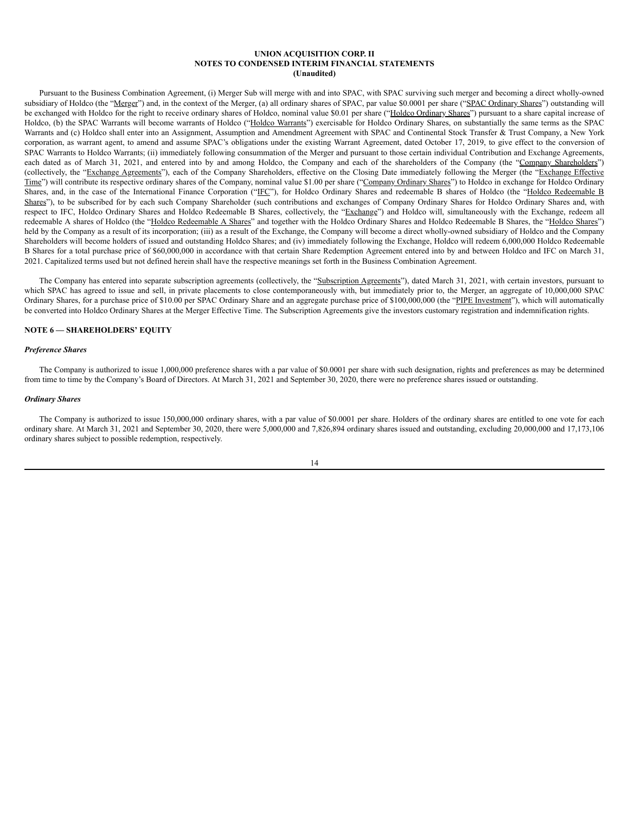Pursuant to the Business Combination Agreement, (i) Merger Sub will merge with and into SPAC, with SPAC surviving such merger and becoming a direct wholly-owned subsidiary of Holdco (the "Merger") and, in the context of the Merger, (a) all ordinary shares of SPAC, par value \$0.0001 per share ("SPAC Ordinary Shares") outstanding will be exchanged with Holdco for the right to receive ordinary shares of Holdco, nominal value \$0.01 per share ("Holdco Ordinary Shares") pursuant to a share capital increase of Holdco, (b) the SPAC Warrants will become warrants of Holdco ("Holdco Warrants") exercisable for Holdco Ordinary Shares, on substantially the same terms as the SPAC Warrants and (c) Holdco shall enter into an Assignment, Assumption and Amendment Agreement with SPAC and Continental Stock Transfer & Trust Company, a New York corporation, as warrant agent, to amend and assume SPAC's obligations under the existing Warrant Agreement, dated October 17, 2019, to give effect to the conversion of SPAC Warrants to Holdco Warrants; (ii) immediately following consummation of the Merger and pursuant to those certain individual Contribution and Exchange Agreements, each dated as of March 31, 2021, and entered into by and among Holdco, the Company and each of the shareholders of the Company (the "Company Shareholders") (collectively, the "Exchange Agreements"), each of the Company Shareholders, effective on the Closing Date immediately following the Merger (the "Exchange Effective Time") will contribute its respective ordinary shares of the Company, nominal value \$1.00 per share ("Company Ordinary Shares") to Holdco in exchange for Holdco Ordinary Shares, and, in the case of the International Finance Corporation ("IFC"), for Holdco Ordinary Shares and redeemable B shares of Holdco (the "Holdco Redeemable B Shares"), to be subscribed for by each such Company Shareholder (such contributions and exchanges of Company Ordinary Shares for Holdco Ordinary Shares and, with respect to IFC, Holdco Ordinary Shares and Holdco Redeemable B Shares, collectively, the "Exchange") and Holdco will, simultaneously with the Exchange, redeem all redeemable A shares of Holdco (the "Holdco Redeemable A Shares" and together with the Holdco Ordinary Shares and Holdco Redeemable B Shares, the "Holdco Shares") held by the Company as a result of its incorporation; (iii) as a result of the Exchange, the Company will become a direct wholly-owned subsidiary of Holdco and the Company Shareholders will become holders of issued and outstanding Holdco Shares; and (iv) immediately following the Exchange, Holdco will redeem 6,000,000 Holdco Redeemable B Shares for a total purchase price of \$60,000,000 in accordance with that certain Share Redemption Agreement entered into by and between Holdco and IFC on March 31, 2021. Capitalized terms used but not defined herein shall have the respective meanings set forth in the Business Combination Agreement.

The Company has entered into separate subscription agreements (collectively, the "Subscription Agreements"), dated March 31, 2021, with certain investors, pursuant to which SPAC has agreed to issue and sell, in private placements to close contemporaneously with, but immediately prior to, the Merger, an aggregate of 10,000,000 SPAC Ordinary Shares, for a purchase price of \$10.00 per SPAC Ordinary Share and an aggregate purchase price of \$100,000,000 (the "PIPE Investment"), which will automatically be converted into Holdco Ordinary Shares at the Merger Effective Time. The Subscription Agreements give the investors customary registration and indemnification rights.

#### **NOTE 6 — SHAREHOLDERS' EQUITY**

#### *Preference Shares*

The Company is authorized to issue 1,000,000 preference shares with a par value of \$0.0001 per share with such designation, rights and preferences as may be determined from time to time by the Company's Board of Directors. At March 31, 2021 and September 30, 2020, there were no preference shares issued or outstanding.

#### *Ordinary Shares*

The Company is authorized to issue 150,000,000 ordinary shares, with a par value of \$0.0001 per share. Holders of the ordinary shares are entitled to one vote for each ordinary share. At March 31, 2021 and September 30, 2020, there were 5,000,000 and 7,826,894 ordinary shares issued and outstanding, excluding 20,000,000 and 17,173,106 ordinary shares subject to possible redemption, respectively.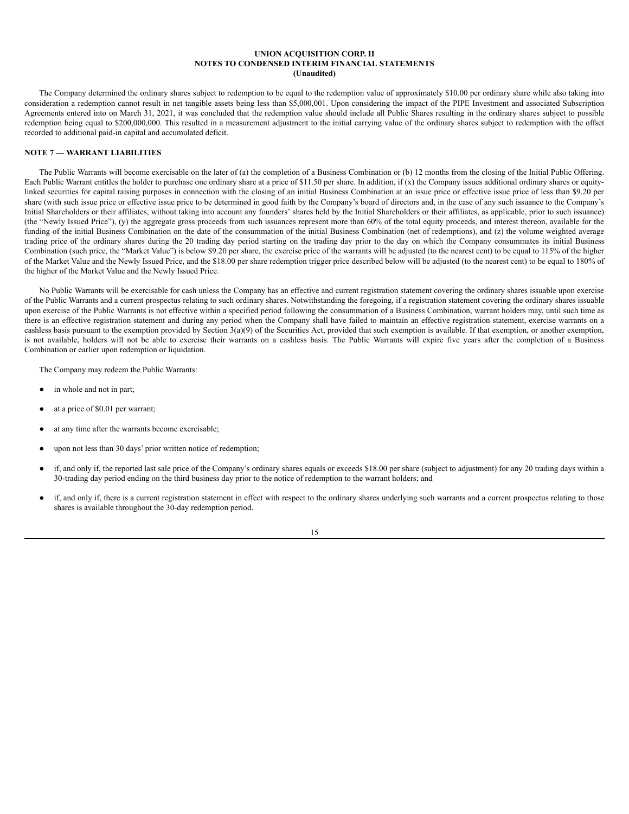The Company determined the ordinary shares subject to redemption to be equal to the redemption value of approximately \$10.00 per ordinary share while also taking into consideration a redemption cannot result in net tangible assets being less than \$5,000,001. Upon considering the impact of the PIPE Investment and associated Subscription Agreements entered into on March 31, 2021, it was concluded that the redemption value should include all Public Shares resulting in the ordinary shares subject to possible redemption being equal to \$200,000,000. This resulted in a measurement adjustment to the initial carrying value of the ordinary shares subject to redemption with the offset recorded to additional paid-in capital and accumulated deficit.

## **NOTE 7 — WARRANT LIABILITIES**

The Public Warrants will become exercisable on the later of (a) the completion of a Business Combination or (b) 12 months from the closing of the Initial Public Offering. Each Public Warrant entitles the holder to purchase one ordinary share at a price of \$11.50 per share. In addition, if (x) the Company issues additional ordinary shares or equitylinked securities for capital raising purposes in connection with the closing of an initial Business Combination at an issue price or effective issue price of less than \$9.20 per share (with such issue price or effective issue price to be determined in good faith by the Company's board of directors and, in the case of any such issuance to the Company's Initial Shareholders or their affiliates, without taking into account any founders' shares held by the Initial Shareholders or their affiliates, as applicable, prior to such issuance) (the "Newly Issued Price"), (y) the aggregate gross proceeds from such issuances represent more than 60% of the total equity proceeds, and interest thereon, available for the funding of the initial Business Combination on the date of the consummation of the initial Business Combination (net of redemptions), and (z) the volume weighted average trading price of the ordinary shares during the 20 trading day period starting on the trading day prior to the day on which the Company consummates its initial Business Combination (such price, the "Market Value") is below \$9.20 per share, the exercise price of the warrants will be adjusted (to the nearest cent) to be equal to 115% of the higher of the Market Value and the Newly Issued Price, and the \$18.00 per share redemption trigger price described below will be adjusted (to the nearest cent) to be equal to 180% of the higher of the Market Value and the Newly Issued Price.

No Public Warrants will be exercisable for cash unless the Company has an effective and current registration statement covering the ordinary shares issuable upon exercise of the Public Warrants and a current prospectus relating to such ordinary shares. Notwithstanding the foregoing, if a registration statement covering the ordinary shares issuable upon exercise of the Public Warrants is not effective within a specified period following the consummation of a Business Combination, warrant holders may, until such time as there is an effective registration statement and during any period when the Company shall have failed to maintain an effective registration statement, exercise warrants on a cashless basis pursuant to the exemption provided by Section  $3(a)(9)$  of the Securities Act, provided that such exemption is available. If that exemption, or another exemption, is not available, holders will not be able to exercise their warrants on a cashless basis. The Public Warrants will expire five years after the completion of a Business Combination or earlier upon redemption or liquidation.

The Company may redeem the Public Warrants:

- in whole and not in part;
- at a price of \$0.01 per warrant;
- at any time after the warrants become exercisable;
- upon not less than 30 days' prior written notice of redemption;
- if, and only if, the reported last sale price of the Company's ordinary shares equals or exceeds \$18.00 per share (subject to adjustment) for any 20 trading days within a 30-trading day period ending on the third business day prior to the notice of redemption to the warrant holders; and
- if, and only if, there is a current registration statement in effect with respect to the ordinary shares underlying such warrants and a current prospectus relating to those shares is available throughout the 30-day redemption period.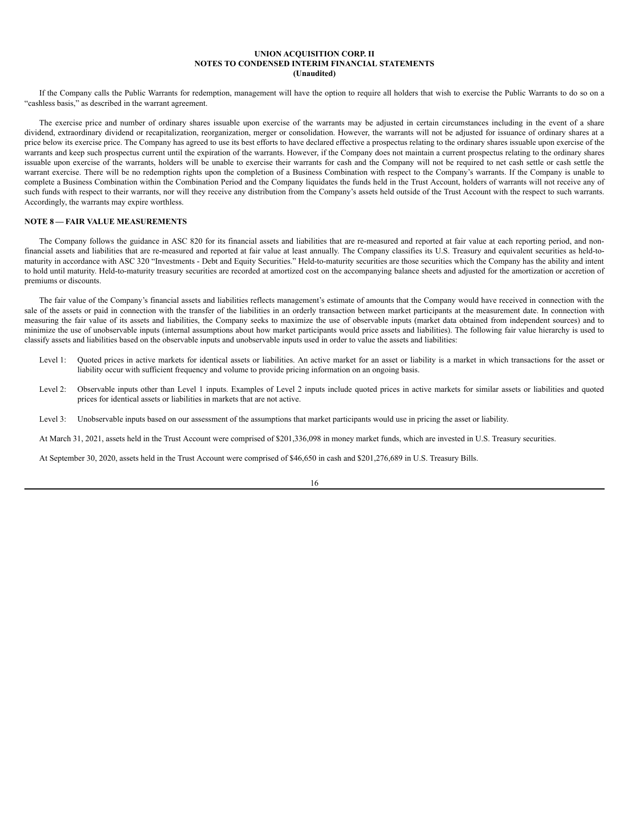If the Company calls the Public Warrants for redemption, management will have the option to require all holders that wish to exercise the Public Warrants to do so on a "cashless basis," as described in the warrant agreement.

The exercise price and number of ordinary shares issuable upon exercise of the warrants may be adjusted in certain circumstances including in the event of a share dividend, extraordinary dividend or recapitalization, reorganization, merger or consolidation. However, the warrants will not be adjusted for issuance of ordinary shares at a price below its exercise price. The Company has agreed to use its best efforts to have declared effective a prospectus relating to the ordinary shares issuable upon exercise of the warrants and keep such prospectus current until the expiration of the warrants. However, if the Company does not maintain a current prospectus relating to the ordinary shares issuable upon exercise of the warrants, holders will be unable to exercise their warrants for cash and the Company will not be required to net cash settle or cash settle the warrant exercise. There will be no redemption rights upon the completion of a Business Combination with respect to the Company's warrants. If the Company is unable to complete a Business Combination within the Combination Period and the Company liquidates the funds held in the Trust Account, holders of warrants will not receive any of such funds with respect to their warrants, nor will they receive any distribution from the Company's assets held outside of the Trust Account with the respect to such warrants. Accordingly, the warrants may expire worthless.

#### **NOTE 8 — FAIR VALUE MEASUREMENTS**

The Company follows the guidance in ASC 820 for its financial assets and liabilities that are re-measured and reported at fair value at each reporting period, and nonfinancial assets and liabilities that are re-measured and reported at fair value at least annually. The Company classifies its U.S. Treasury and equivalent securities as held-tomaturity in accordance with ASC 320 "Investments - Debt and Equity Securities." Held-to-maturity securities are those securities which the Company has the ability and intent to hold until maturity. Held-to-maturity treasury securities are recorded at amortized cost on the accompanying balance sheets and adjusted for the amortization or accretion of premiums or discounts.

The fair value of the Company's financial assets and liabilities reflects management's estimate of amounts that the Company would have received in connection with the sale of the assets or paid in connection with the transfer of the liabilities in an orderly transaction between market participants at the measurement date. In connection with measuring the fair value of its assets and liabilities, the Company seeks to maximize the use of observable inputs (market data obtained from independent sources) and to minimize the use of unobservable inputs (internal assumptions about how market participants would price assets and liabilities). The following fair value hierarchy is used to classify assets and liabilities based on the observable inputs and unobservable inputs used in order to value the assets and liabilities:

- Level 1: Quoted prices in active markets for identical assets or liabilities. An active market for an asset or liability is a market in which transactions for the asset or liability occur with sufficient frequency and volume to provide pricing information on an ongoing basis.
- Level 2: Observable inputs other than Level 1 inputs. Examples of Level 2 inputs include quoted prices in active markets for similar assets or liabilities and quoted prices for identical assets or liabilities in markets that are not active.
- Level 3: Unobservable inputs based on our assessment of the assumptions that market participants would use in pricing the asset or liability.

At March 31, 2021, assets held in the Trust Account were comprised of \$201,336,098 in money market funds, which are invested in U.S. Treasury securities.

At September 30, 2020, assets held in the Trust Account were comprised of \$46,650 in cash and \$201,276,689 in U.S. Treasury Bills.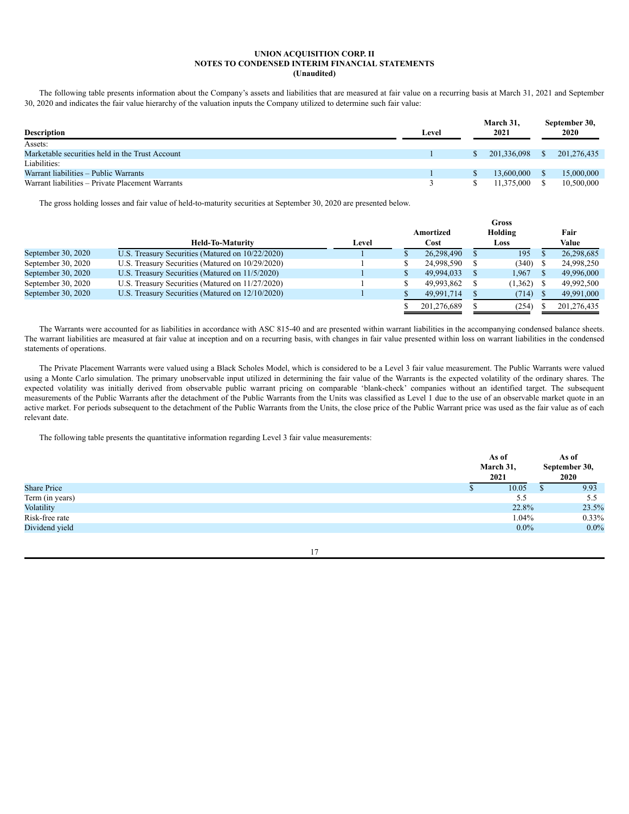The following table presents information about the Company's assets and liabilities that are measured at fair value on a recurring basis at March 31, 2021 and September 30, 2020 and indicates the fair value hierarchy of the valuation inputs the Company utilized to determine such fair value:

|                                                  |       |    | March 31.   | September 30, |
|--------------------------------------------------|-------|----|-------------|---------------|
| <b>Description</b>                               | Level |    | 2021        | 2020          |
| Assets:                                          |       |    |             |               |
| Marketable securities held in the Trust Account  |       | S. | 201.336.098 | 201,276,435   |
| Liabilities:                                     |       |    |             |               |
| Warrant liabilities – Public Warrants            |       |    | 13.600.000  | 15,000,000    |
| Warrant liabilities – Private Placement Warrants |       |    | 11.375.000  | 10,500,000    |

The gross holding losses and fair value of held-to-maturity securities at September 30, 2020 are presented below.

|                    |                                                  |       | Gross |              |         |         |       |             |
|--------------------|--------------------------------------------------|-------|-------|--------------|---------|---------|-------|-------------|
|                    |                                                  |       |       | Amortized    | Holding |         |       | Fair        |
|                    | <b>Held-To-Maturity</b>                          | Level |       | Cost<br>Loss |         |         | Value |             |
| September 30, 2020 | U.S. Treasury Securities (Matured on 10/22/2020) |       |       | 26.298.490   |         | 195     |       | 26,298,685  |
| September 30, 2020 | U.S. Treasury Securities (Matured on 10/29/2020) |       |       | 24.998.590   |         | (340)   |       | 24,998,250  |
| September 30, 2020 | U.S. Treasury Securities (Matured on 11/5/2020)  |       |       | 49.994.033   |         | 1.967   |       | 49,996,000  |
| September 30, 2020 | U.S. Treasury Securities (Matured on 11/27/2020) |       |       | 49.993.862   |         | (1,362) |       | 49,992,500  |
| September 30, 2020 | U.S. Treasury Securities (Matured on 12/10/2020) |       |       | 49,991,714   |         | (714)   |       | 49,991,000  |
|                    |                                                  |       |       | 201.276.689  |         | (254)   |       | 201.276.435 |

The Warrants were accounted for as liabilities in accordance with ASC 815-40 and are presented within warrant liabilities in the accompanying condensed balance sheets. The warrant liabilities are measured at fair value at inception and on a recurring basis, with changes in fair value presented within loss on warrant liabilities in the condensed statements of operations.

The Private Placement Warrants were valued using a Black Scholes Model, which is considered to be a Level 3 fair value measurement. The Public Warrants were valued using a Monte Carlo simulation. The primary unobservable input utilized in determining the fair value of the Warrants is the expected volatility of the ordinary shares. The expected volatility was initially derived from observable public warrant pricing on comparable 'blank-check' companies without an identified target. The subsequent measurements of the Public Warrants after the detachment of the Public Warrants from the Units was classified as Level 1 due to the use of an observable market quote in an active market. For periods subsequent to the detachment of the Public Warrants from the Units, the close price of the Public Warrant price was used as the fair value as of each relevant date.

The following table presents the quantitative information regarding Level 3 fair value measurements:

|                    | As of<br>March 31,<br>2021 | As of<br>September 30,<br>2020 |
|--------------------|----------------------------|--------------------------------|
| <b>Share Price</b> | 10.05                      | 9.93                           |
| Term (in years)    | 5.5                        | 5.5                            |
| Volatility         | 22.8%                      | 23.5%                          |
| Risk-free rate     | 1.04%                      | 0.33%                          |
| Dividend yield     | $0.0\%$                    | $0.0\%$                        |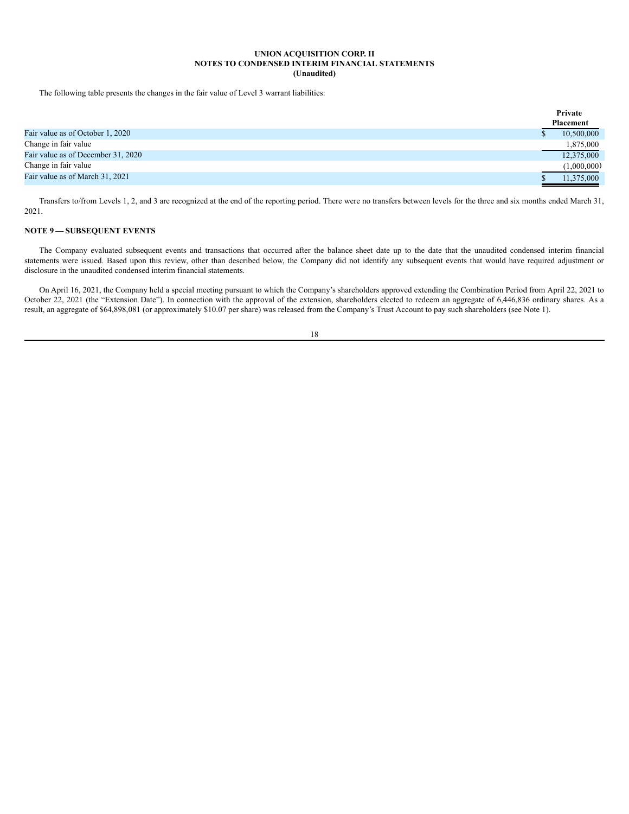The following table presents the changes in the fair value of Level 3 warrant liabilities:

|                                    | Private     |
|------------------------------------|-------------|
|                                    | Placement   |
| Fair value as of October 1, 2020   | 10,500,000  |
| Change in fair value               | 1,875,000   |
| Fair value as of December 31, 2020 | 12,375,000  |
| Change in fair value               | (1,000,000) |
| Fair value as of March 31, 2021    | 11,375,000  |

Transfers to/from Levels 1, 2, and 3 are recognized at the end of the reporting period. There were no transfers between levels for the three and six months ended March 31, 2021.

## **NOTE 9 — SUBSEQUENT EVENTS**

The Company evaluated subsequent events and transactions that occurred after the balance sheet date up to the date that the unaudited condensed interim financial statements were issued. Based upon this review, other than described below, the Company did not identify any subsequent events that would have required adjustment or disclosure in the unaudited condensed interim financial statements.

On April 16, 2021, the Company held a special meeting pursuant to which the Company's shareholders approved extending the Combination Period from April 22, 2021 to October 22, 2021 (the "Extension Date"). In connection with the approval of the extension, shareholders elected to redeem an aggregate of 6,446,836 ordinary shares. As a result, an aggregate of \$64,898,081 (or approximately \$10.07 per share) was released from the Company's Trust Account to pay such shareholders (see Note 1).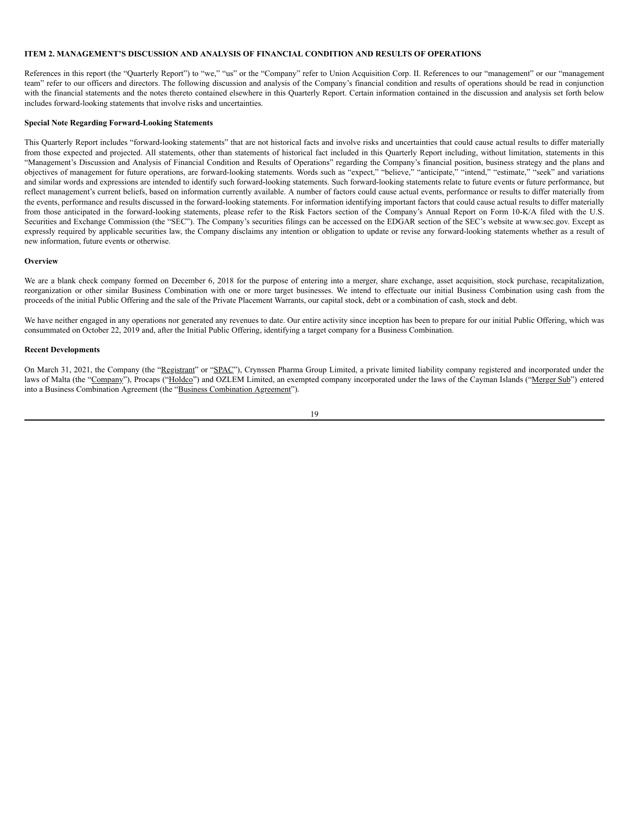#### <span id="page-20-0"></span>**ITEM 2. MANAGEMENT'S DISCUSSION AND ANALYSIS OF FINANCIAL CONDITION AND RESULTS OF OPERATIONS**

References in this report (the "Quarterly Report") to "we," "us" or the "Company" refer to Union Acquisition Corp. II. References to our "management" or our "management team" refer to our officers and directors. The following discussion and analysis of the Company's financial condition and results of operations should be read in conjunction with the financial statements and the notes thereto contained elsewhere in this Quarterly Report. Certain information contained in the discussion and analysis set forth below includes forward-looking statements that involve risks and uncertainties.

#### **Special Note Regarding Forward-Looking Statements**

This Quarterly Report includes "forward-looking statements" that are not historical facts and involve risks and uncertainties that could cause actual results to differ materially from those expected and projected. All statements, other than statements of historical fact included in this Quarterly Report including, without limitation, statements in this "Management's Discussion and Analysis of Financial Condition and Results of Operations" regarding the Company's financial position, business strategy and the plans and objectives of management for future operations, are forward-looking statements. Words such as "expect," "believe," "anticipate," "intend," "estimate," "seek" and variations and similar words and expressions are intended to identify such forward-looking statements. Such forward-looking statements relate to future events or future performance, but reflect management's current beliefs, based on information currently available. A number of factors could cause actual events, performance or results to differ materially from the events, performance and results discussed in the forward-looking statements. For information identifying important factors that could cause actual results to differ materially from those anticipated in the forward-looking statements, please refer to the Risk Factors section of the Company's Annual Report on Form 10-K/A filed with the U.S. Securities and Exchange Commission (the "SEC"). The Company's securities filings can be accessed on the EDGAR section of the SEC's website at www.sec.gov. Except as expressly required by applicable securities law, the Company disclaims any intention or obligation to update or revise any forward-looking statements whether as a result of new information, future events or otherwise.

#### **Overview**

We are a blank check company formed on December 6, 2018 for the purpose of entering into a merger, share exchange, asset acquisition, stock purchase, recapitalization, reorganization or other similar Business Combination with one or more target businesses. We intend to effectuate our initial Business Combination using cash from the proceeds of the initial Public Offering and the sale of the Private Placement Warrants, our capital stock, debt or a combination of cash, stock and debt.

We have neither engaged in any operations nor generated any revenues to date. Our entire activity since inception has been to prepare for our initial Public Offering, which was consummated on October 22, 2019 and, after the Initial Public Offering, identifying a target company for a Business Combination.

#### **Recent Developments**

On March 31, 2021, the Company (the "Registrant" or "SPAC"), Crynssen Pharma Group Limited, a private limited liability company registered and incorporated under the laws of Malta (the "Company"), Procaps ("Holdco") and OZLEM Limited, an exempted company incorporated under the laws of the Cayman Islands ("Merger Sub") entered into a Business Combination Agreement (the "Business Combination Agreement").

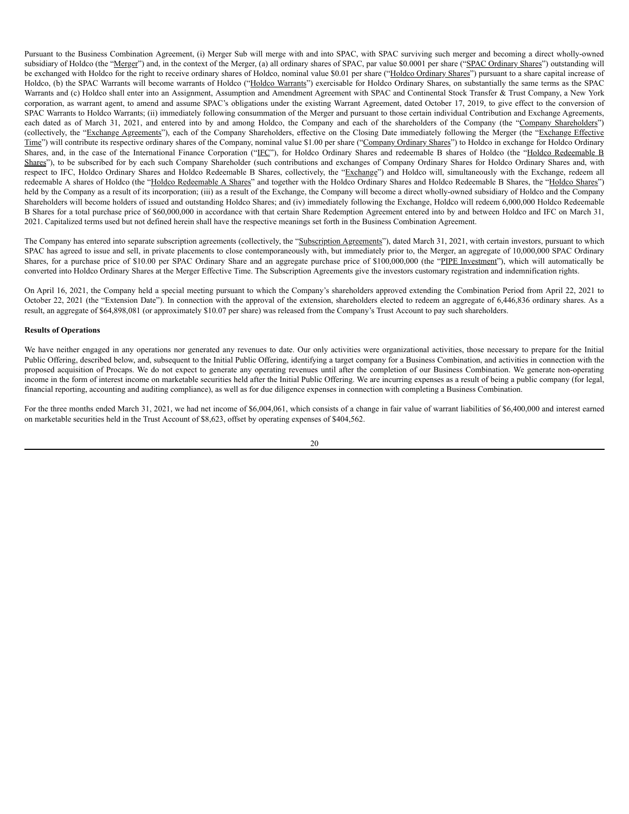Pursuant to the Business Combination Agreement, (i) Merger Sub will merge with and into SPAC, with SPAC surviving such merger and becoming a direct wholly-owned subsidiary of Holdco (the "Merger") and, in the context of the Merger, (a) all ordinary shares of SPAC, par value \$0.0001 per share ("SPAC Ordinary Shares") outstanding will be exchanged with Holdco for the right to receive ordinary shares of Holdco, nominal value \$0.01 per share ("Holdco Ordinary Shares") pursuant to a share capital increase of Holdco, (b) the SPAC Warrants will become warrants of Holdco ("Holdco Warrants") exercisable for Holdco Ordinary Shares, on substantially the same terms as the SPAC Warrants and (c) Holdco shall enter into an Assignment, Assumption and Amendment Agreement with SPAC and Continental Stock Transfer & Trust Company, a New York corporation, as warrant agent, to amend and assume SPAC's obligations under the existing Warrant Agreement, dated October 17, 2019, to give effect to the conversion of SPAC Warrants to Holdco Warrants; (ii) immediately following consummation of the Merger and pursuant to those certain individual Contribution and Exchange Agreements, each dated as of March 31, 2021, and entered into by and among Holdco, the Company and each of the shareholders of the Company (the "Company Shareholders") (collectively, the "Exchange Agreements"), each of the Company Shareholders, effective on the Closing Date immediately following the Merger (the "Exchange Effective Time") will contribute its respective ordinary shares of the Company, nominal value \$1.00 per share ("Company Ordinary Shares") to Holdco in exchange for Holdco Ordinary Shares, and, in the case of the International Finance Corporation ("IFC"), for Holdco Ordinary Shares and redeemable B shares of Holdco (the "Holdco Redeemable B Shares"), to be subscribed for by each such Company Shareholder (such contributions and exchanges of Company Ordinary Shares for Holdco Ordinary Shares and, with respect to IFC, Holdco Ordinary Shares and Holdco Redeemable B Shares, collectively, the "Exchange") and Holdco will, simultaneously with the Exchange, redeem all redeemable A shares of Holdco (the "Holdco Redeemable A Shares" and together with the Holdco Ordinary Shares and Holdco Redeemable B Shares, the "Holdco Shares") held by the Company as a result of its incorporation; (iii) as a result of the Exchange, the Company will become a direct wholly-owned subsidiary of Holdco and the Company Shareholders will become holders of issued and outstanding Holdco Shares; and (iv) immediately following the Exchange, Holdco will redeem 6,000,000 Holdco Redeemable B Shares for a total purchase price of \$60,000,000 in accordance with that certain Share Redemption Agreement entered into by and between Holdco and IFC on March 31, 2021. Capitalized terms used but not defined herein shall have the respective meanings set forth in the Business Combination Agreement.

The Company has entered into separate subscription agreements (collectively, the "Subscription Agreements"), dated March 31, 2021, with certain investors, pursuant to which SPAC has agreed to issue and sell, in private placements to close contemporaneously with, but immediately prior to, the Merger, an aggregate of 10,000,000 SPAC Ordinary Shares, for a purchase price of \$10.00 per SPAC Ordinary Share and an aggregate purchase price of \$100,000,000 (the "PIPE Investment"), which will automatically be converted into Holdco Ordinary Shares at the Merger Effective Time. The Subscription Agreements give the investors customary registration and indemnification rights.

On April 16, 2021, the Company held a special meeting pursuant to which the Company's shareholders approved extending the Combination Period from April 22, 2021 to October 22, 2021 (the "Extension Date"). In connection with the approval of the extension, shareholders elected to redeem an aggregate of 6,446,836 ordinary shares. As a result, an aggregate of \$64,898,081 (or approximately \$10.07 per share) was released from the Company's Trust Account to pay such shareholders.

#### **Results of Operations**

We have neither engaged in any operations nor generated any revenues to date. Our only activities were organizational activities, those necessary to prepare for the Initial Public Offering, described below, and, subsequent to the Initial Public Offering, identifying a target company for a Business Combination, and activities in connection with the proposed acquisition of Procaps. We do not expect to generate any operating revenues until after the completion of our Business Combination. We generate non-operating income in the form of interest income on marketable securities held after the Initial Public Offering. We are incurring expenses as a result of being a public company (for legal, financial reporting, accounting and auditing compliance), as well as for due diligence expenses in connection with completing a Business Combination.

For the three months ended March 31, 2021, we had net income of \$6,004,061, which consists of a change in fair value of warrant liabilities of \$6,400,000 and interest earned on marketable securities held in the Trust Account of \$8,623, offset by operating expenses of \$404,562.

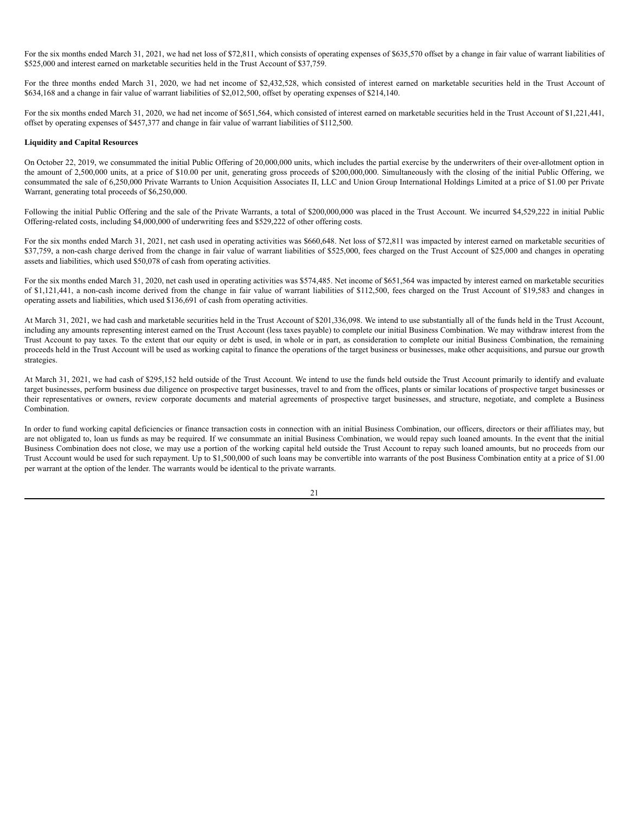For the six months ended March 31, 2021, we had net loss of \$72,811, which consists of operating expenses of \$635,570 offset by a change in fair value of warrant liabilities of \$525,000 and interest earned on marketable securities held in the Trust Account of \$37,759.

For the three months ended March 31, 2020, we had net income of \$2,432,528, which consisted of interest earned on marketable securities held in the Trust Account of \$634,168 and a change in fair value of warrant liabilities of \$2,012,500, offset by operating expenses of \$214,140.

For the six months ended March 31, 2020, we had net income of \$651,564, which consisted of interest earned on marketable securities held in the Trust Account of \$1,221,441, offset by operating expenses of \$457,377 and change in fair value of warrant liabilities of \$112,500.

#### **Liquidity and Capital Resources**

On October 22, 2019, we consummated the initial Public Offering of 20,000,000 units, which includes the partial exercise by the underwriters of their over-allotment option in the amount of 2,500,000 units, at a price of \$10.00 per unit, generating gross proceeds of \$200,000,000. Simultaneously with the closing of the initial Public Offering, we consummated the sale of 6,250,000 Private Warrants to Union Acquisition Associates II, LLC and Union Group International Holdings Limited at a price of \$1.00 per Private Warrant, generating total proceeds of \$6,250,000.

Following the initial Public Offering and the sale of the Private Warrants, a total of \$200,000,000 was placed in the Trust Account. We incurred \$4,529,222 in initial Public Offering-related costs, including \$4,000,000 of underwriting fees and \$529,222 of other offering costs.

For the six months ended March 31, 2021, net cash used in operating activities was \$660,648. Net loss of \$72,811 was impacted by interest earned on marketable securities of \$37,759, a non-cash charge derived from the change in fair value of warrant liabilities of \$525,000, fees charged on the Trust Account of \$25,000 and changes in operating assets and liabilities, which used \$50,078 of cash from operating activities.

For the six months ended March 31, 2020, net cash used in operating activities was \$574,485. Net income of \$651,564 was impacted by interest earned on marketable securities of \$1,121,441, a non-cash income derived from the change in fair value of warrant liabilities of \$112,500, fees charged on the Trust Account of \$19,583 and changes in operating assets and liabilities, which used \$136,691 of cash from operating activities.

At March 31, 2021, we had cash and marketable securities held in the Trust Account of \$201,336,098. We intend to use substantially all of the funds held in the Trust Account, including any amounts representing interest earned on the Trust Account (less taxes payable) to complete our initial Business Combination. We may withdraw interest from the Trust Account to pay taxes. To the extent that our equity or debt is used, in whole or in part, as consideration to complete our initial Business Combination, the remaining proceeds held in the Trust Account will be used as working capital to finance the operations of the target business or businesses, make other acquisitions, and pursue our growth strategies.

At March 31, 2021, we had cash of \$295,152 held outside of the Trust Account. We intend to use the funds held outside the Trust Account primarily to identify and evaluate target businesses, perform business due diligence on prospective target businesses, travel to and from the offices, plants or similar locations of prospective target businesses or their representatives or owners, review corporate documents and material agreements of prospective target businesses, and structure, negotiate, and complete a Business Combination.

In order to fund working capital deficiencies or finance transaction costs in connection with an initial Business Combination, our officers, directors or their affiliates may, but are not obligated to, loan us funds as may be required. If we consummate an initial Business Combination, we would repay such loaned amounts. In the event that the initial Business Combination does not close, we may use a portion of the working capital held outside the Trust Account to repay such loaned amounts, but no proceeds from our Trust Account would be used for such repayment. Up to \$1,500,000 of such loans may be convertible into warrants of the post Business Combination entity at a price of \$1.00 per warrant at the option of the lender. The warrants would be identical to the private warrants.

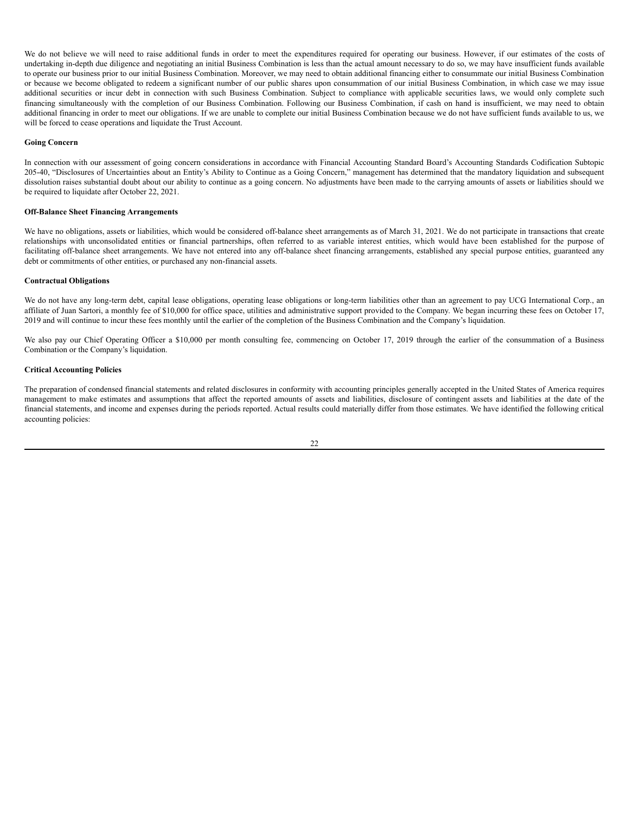We do not believe we will need to raise additional funds in order to meet the expenditures required for operating our business. However, if our estimates of the costs of undertaking in-depth due diligence and negotiating an initial Business Combination is less than the actual amount necessary to do so, we may have insufficient funds available to operate our business prior to our initial Business Combination. Moreover, we may need to obtain additional financing either to consummate our initial Business Combination or because we become obligated to redeem a significant number of our public shares upon consummation of our initial Business Combination, in which case we may issue additional securities or incur debt in connection with such Business Combination. Subject to compliance with applicable securities laws, we would only complete such financing simultaneously with the completion of our Business Combination. Following our Business Combination, if cash on hand is insufficient, we may need to obtain additional financing in order to meet our obligations. If we are unable to complete our initial Business Combination because we do not have sufficient funds available to us, we will be forced to cease operations and liquidate the Trust Account.

#### **Going Concern**

In connection with our assessment of going concern considerations in accordance with Financial Accounting Standard Board's Accounting Standards Codification Subtopic 205-40, "Disclosures of Uncertainties about an Entity's Ability to Continue as a Going Concern," management has determined that the mandatory liquidation and subsequent dissolution raises substantial doubt about our ability to continue as a going concern. No adjustments have been made to the carrying amounts of assets or liabilities should we be required to liquidate after October 22, 2021.

#### **Off-Balance Sheet Financing Arrangements**

We have no obligations, assets or liabilities, which would be considered off-balance sheet arrangements as of March 31, 2021. We do not participate in transactions that create relationships with unconsolidated entities or financial partnerships, often referred to as variable interest entities, which would have been established for the purpose of facilitating off-balance sheet arrangements. We have not entered into any off-balance sheet financing arrangements, established any special purpose entities, guaranteed any debt or commitments of other entities, or purchased any non-financial assets.

#### **Contractual Obligations**

We do not have any long-term debt, capital lease obligations, operating lease obligations or long-term liabilities other than an agreement to pay UCG International Corp., an affiliate of Juan Sartori, a monthly fee of \$10,000 for office space, utilities and administrative support provided to the Company. We began incurring these fees on October 17, 2019 and will continue to incur these fees monthly until the earlier of the completion of the Business Combination and the Company's liquidation.

We also pay our Chief Operating Officer a \$10,000 per month consulting fee, commencing on October 17, 2019 through the earlier of the consummation of a Business Combination or the Company's liquidation.

### **Critical Accounting Policies**

The preparation of condensed financial statements and related disclosures in conformity with accounting principles generally accepted in the United States of America requires management to make estimates and assumptions that affect the reported amounts of assets and liabilities, disclosure of contingent assets and liabilities at the date of the financial statements, and income and expenses during the periods reported. Actual results could materially differ from those estimates. We have identified the following critical accounting policies:

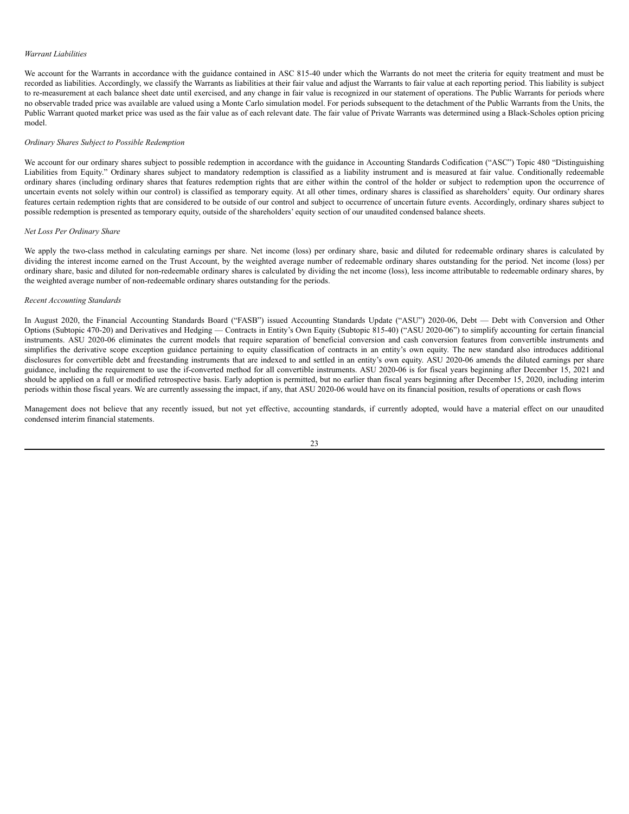#### *Warrant Liabilities*

We account for the Warrants in accordance with the guidance contained in ASC 815-40 under which the Warrants do not meet the criteria for equity treatment and must be recorded as liabilities. Accordingly, we classify the Warrants as liabilities at their fair value and adjust the Warrants to fair value at each reporting period. This liability is subject to re-measurement at each balance sheet date until exercised, and any change in fair value is recognized in our statement of operations. The Public Warrants for periods where no observable traded price was available are valued using a Monte Carlo simulation model. For periods subsequent to the detachment of the Public Warrants from the Units, the Public Warrant quoted market price was used as the fair value as of each relevant date. The fair value of Private Warrants was determined using a Black-Scholes option pricing model.

#### *Ordinary Shares Subject to Possible Redemption*

We account for our ordinary shares subject to possible redemption in accordance with the guidance in Accounting Standards Codification ("ASC") Topic 480 "Distinguishing Liabilities from Equity." Ordinary shares subject to mandatory redemption is classified as a liability instrument and is measured at fair value. Conditionally redeemable ordinary shares (including ordinary shares that features redemption rights that are either within the control of the holder or subject to redemption upon the occurrence of uncertain events not solely within our control) is classified as temporary equity. At all other times, ordinary shares is classified as shareholders' equity. Our ordinary shares features certain redemption rights that are considered to be outside of our control and subject to occurrence of uncertain future events. Accordingly, ordinary shares subject to possible redemption is presented as temporary equity, outside of the shareholders' equity section of our unaudited condensed balance sheets.

#### *Net Loss Per Ordinary Share*

We apply the two-class method in calculating earnings per share. Net income (loss) per ordinary share, basic and diluted for redeemable ordinary shares is calculated by dividing the interest income earned on the Trust Account, by the weighted average number of redeemable ordinary shares outstanding for the period. Net income (loss) per ordinary share, basic and diluted for non-redeemable ordinary shares is calculated by dividing the net income (loss), less income attributable to redeemable ordinary shares, by the weighted average number of non-redeemable ordinary shares outstanding for the periods.

### *Recent Accounting Standards*

In August 2020, the Financial Accounting Standards Board ("FASB") issued Accounting Standards Update ("ASU") 2020-06, Debt — Debt with Conversion and Other Options (Subtopic 470-20) and Derivatives and Hedging — Contracts in Entity's Own Equity (Subtopic 815-40) ("ASU 2020-06") to simplify accounting for certain financial instruments. ASU 2020-06 eliminates the current models that require separation of beneficial conversion and cash conversion features from convertible instruments and simplifies the derivative scope exception guidance pertaining to equity classification of contracts in an entity's own equity. The new standard also introduces additional disclosures for convertible debt and freestanding instruments that are indexed to and settled in an entity's own equity. ASU 2020-06 amends the diluted earnings per share guidance, including the requirement to use the if-converted method for all convertible instruments. ASU 2020-06 is for fiscal years beginning after December 15, 2021 and should be applied on a full or modified retrospective basis. Early adoption is permitted, but no earlier than fiscal years beginning after December 15, 2020, including interim periods within those fiscal years. We are currently assessing the impact, if any, that ASU 2020-06 would have on its financial position, results of operations or cash flows

Management does not believe that any recently issued, but not yet effective, accounting standards, if currently adopted, would have a material effect on our unaudited condensed interim financial statements.

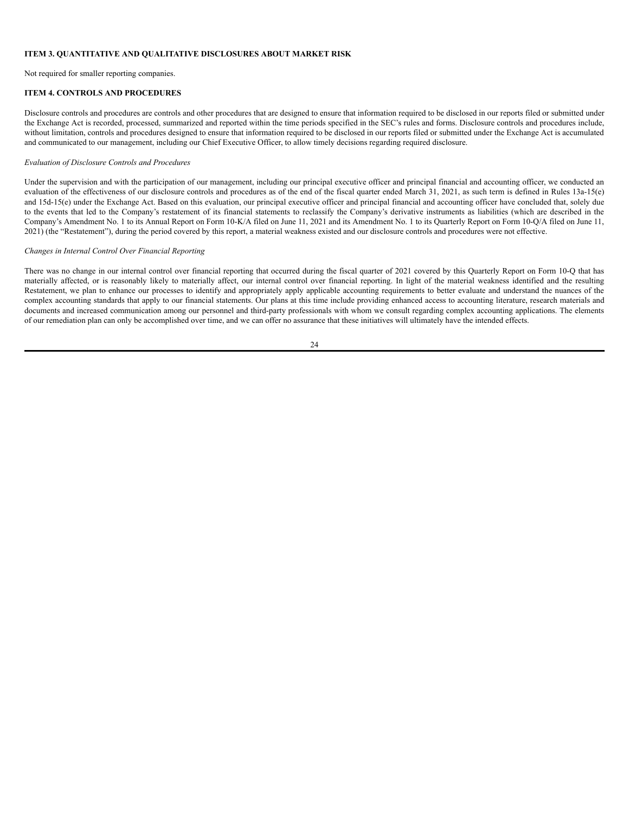#### <span id="page-25-0"></span>**ITEM 3. QUANTITATIVE AND QUALITATIVE DISCLOSURES ABOUT MARKET RISK**

Not required for smaller reporting companies.

## <span id="page-25-1"></span>**ITEM 4. CONTROLS AND PROCEDURES**

Disclosure controls and procedures are controls and other procedures that are designed to ensure that information required to be disclosed in our reports filed or submitted under the Exchange Act is recorded, processed, summarized and reported within the time periods specified in the SEC's rules and forms. Disclosure controls and procedures include, without limitation, controls and procedures designed to ensure that information required to be disclosed in our reports filed or submitted under the Exchange Act is accumulated and communicated to our management, including our Chief Executive Officer, to allow timely decisions regarding required disclosure.

#### *Evaluation of Disclosure Controls and Procedures*

Under the supervision and with the participation of our management, including our principal executive officer and principal financial and accounting officer, we conducted an evaluation of the effectiveness of our disclosure controls and procedures as of the end of the fiscal quarter ended March 31, 2021, as such term is defined in Rules 13a-15(e) and 15d-15(e) under the Exchange Act. Based on this evaluation, our principal executive officer and principal financial and accounting officer have concluded that, solely due to the events that led to the Company's restatement of its financial statements to reclassify the Company's derivative instruments as liabilities (which are described in the Company's Amendment No. 1 to its Annual Report on Form 10-K/A filed on June 11, 2021 and its Amendment No. 1 to its Quarterly Report on Form 10-Q/A filed on June 11, 2021) (the "Restatement"), during the period covered by this report, a material weakness existed and our disclosure controls and procedures were not effective.

#### *Changes in Internal Control Over Financial Reporting*

There was no change in our internal control over financial reporting that occurred during the fiscal quarter of 2021 covered by this Quarterly Report on Form 10-Q that has materially affected, or is reasonably likely to materially affect, our internal control over financial reporting. In light of the material weakness identified and the resulting Restatement, we plan to enhance our processes to identify and appropriately apply applicable accounting requirements to better evaluate and understand the nuances of the complex accounting standards that apply to our financial statements. Our plans at this time include providing enhanced access to accounting literature, research materials and documents and increased communication among our personnel and third-party professionals with whom we consult regarding complex accounting applications. The elements of our remediation plan can only be accomplished over time, and we can offer no assurance that these initiatives will ultimately have the intended effects.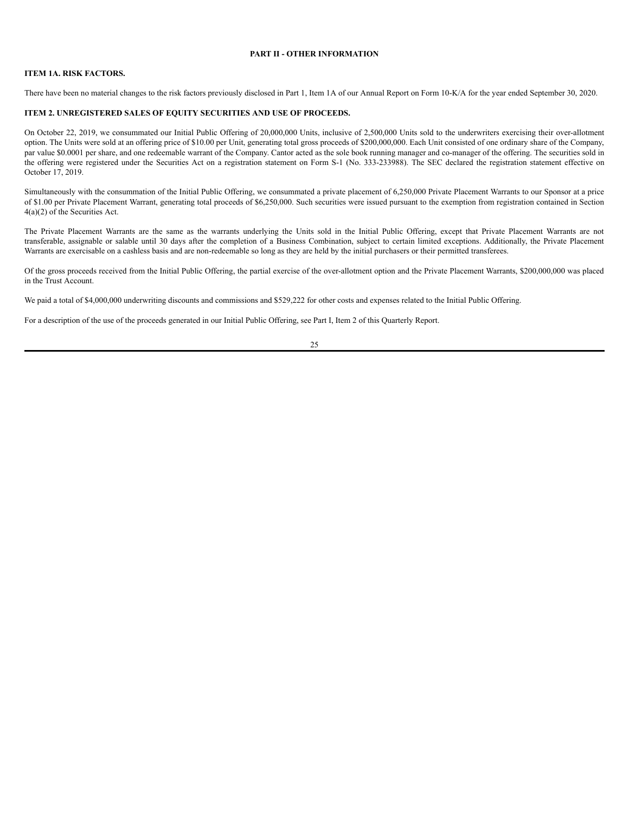## **PART II - OTHER INFORMATION**

## <span id="page-26-1"></span><span id="page-26-0"></span>**ITEM 1A. RISK FACTORS.**

There have been no material changes to the risk factors previously disclosed in Part 1, Item 1A of our Annual Report on Form 10-K/A for the year ended September 30, 2020.

## <span id="page-26-2"></span>**ITEM 2. UNREGISTERED SALES OF EQUITY SECURITIES AND USE OF PROCEEDS.**

On October 22, 2019, we consummated our Initial Public Offering of 20,000,000 Units, inclusive of 2,500,000 Units sold to the underwriters exercising their over-allotment option. The Units were sold at an offering price of \$10.00 per Unit, generating total gross proceeds of \$200,000,000. Each Unit consisted of one ordinary share of the Company, par value \$0.0001 per share, and one redeemable warrant of the Company. Cantor acted as the sole book running manager and co-manager of the offering. The securities sold in the offering were registered under the Securities Act on a registration statement on Form S-1 (No. 333-233988). The SEC declared the registration statement effective on October 17, 2019.

Simultaneously with the consummation of the Initial Public Offering, we consummated a private placement of 6,250,000 Private Placement Warrants to our Sponsor at a price of \$1.00 per Private Placement Warrant, generating total proceeds of \$6,250,000. Such securities were issued pursuant to the exemption from registration contained in Section 4(a)(2) of the Securities Act.

The Private Placement Warrants are the same as the warrants underlying the Units sold in the Initial Public Offering, except that Private Placement Warrants are not transferable, assignable or salable until 30 days after the completion of a Business Combination, subject to certain limited exceptions. Additionally, the Private Placement Warrants are exercisable on a cashless basis and are non-redeemable so long as they are held by the initial purchasers or their permitted transferees.

Of the gross proceeds received from the Initial Public Offering, the partial exercise of the over-allotment option and the Private Placement Warrants, \$200,000,000 was placed in the Trust Account.

We paid a total of \$4,000,000 underwriting discounts and commissions and \$529,222 for other costs and expenses related to the Initial Public Offering.

For a description of the use of the proceeds generated in our Initial Public Offering, see Part I, Item 2 of this Quarterly Report.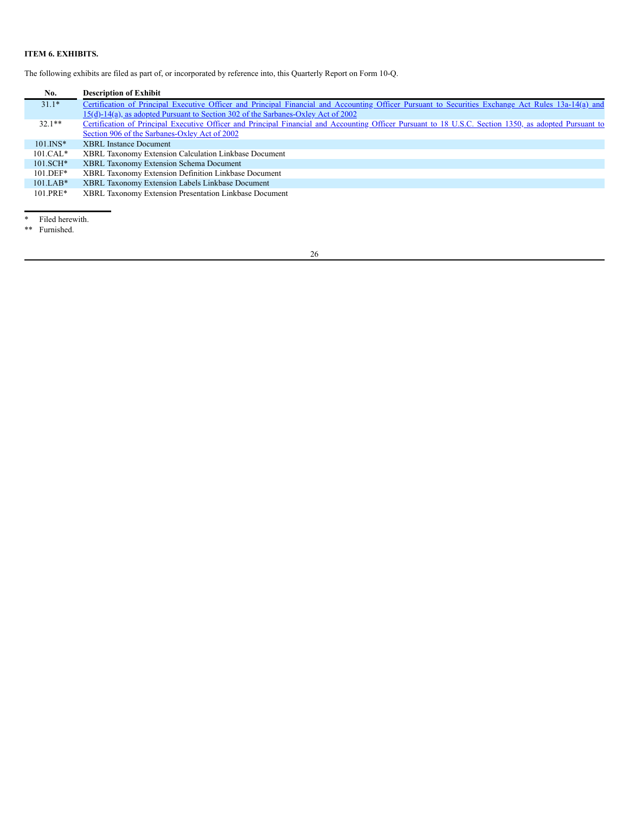# <span id="page-27-0"></span>**ITEM 6. EXHIBITS.**

The following exhibits are filed as part of, or incorporated by reference into, this Quarterly Report on Form 10-Q.

| No.          | <b>Description of Exhibit</b>                                                                                                                          |
|--------------|--------------------------------------------------------------------------------------------------------------------------------------------------------|
| $31.1*$      | Certification of Principal Executive Officer and Principal Financial and Accounting Officer Pursuant to Securities Exchange Act Rules 13a-14(a) and    |
|              | $15(d)-14(a)$ , as adopted Pursuant to Section 302 of the Sarbanes-Oxley Act of 2002                                                                   |
| $32.1**$     | Certification of Principal Executive Officer and Principal Financial and Accounting Officer Pursuant to 18 U.S.C. Section 1350, as adopted Pursuant to |
|              | Section 906 of the Sarbanes-Oxley Act of 2002                                                                                                          |
| $101$ . INS* | <b>XBRL</b> Instance Document                                                                                                                          |
| $101.CAL*$   | XBRL Taxonomy Extension Calculation Linkbase Document                                                                                                  |
| $101.SCH*$   | XBRL Taxonomy Extension Schema Document                                                                                                                |
| $101.$ DEF*  | XBRL Taxonomy Extension Definition Linkbase Document                                                                                                   |
| $101.LAB*$   | XBRL Taxonomy Extension Labels Linkbase Document                                                                                                       |
| $101.PRE*$   | XBRL Taxonomy Extension Presentation Linkbase Document                                                                                                 |

\* Filed herewith.

\*\* Furnished.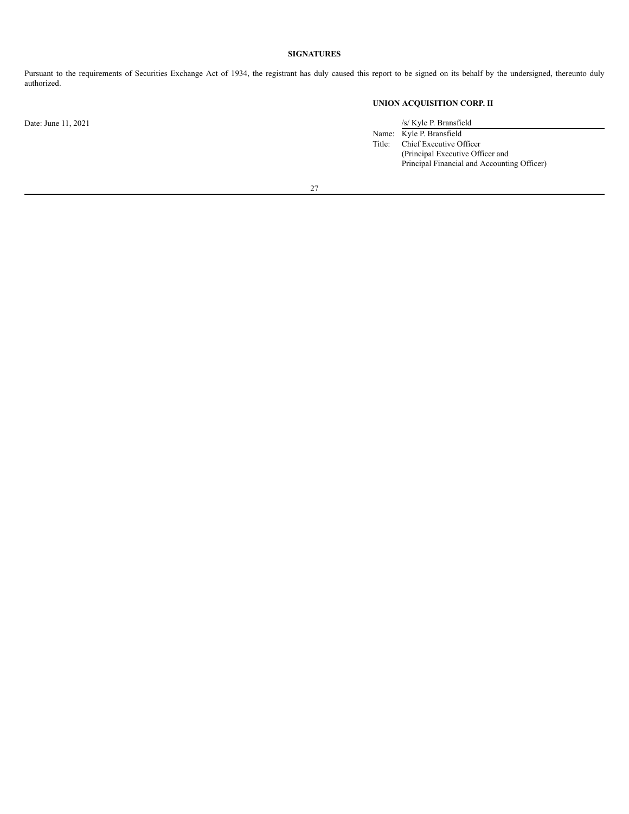# **SIGNATURES**

<span id="page-28-0"></span>Pursuant to the requirements of Securities Exchange Act of 1934, the registrant has duly caused this report to be signed on its behalf by the undersigned, thereunto duly authorized.

**UNION ACQUISITION CORP. II**

Date: June 11, 2021 /s/ Kyle P. Bransfield

Name: Kyle P. Bransfield Title: Chief Executive Officer (Principal Executive Officer and Principal Financial and Accounting Officer)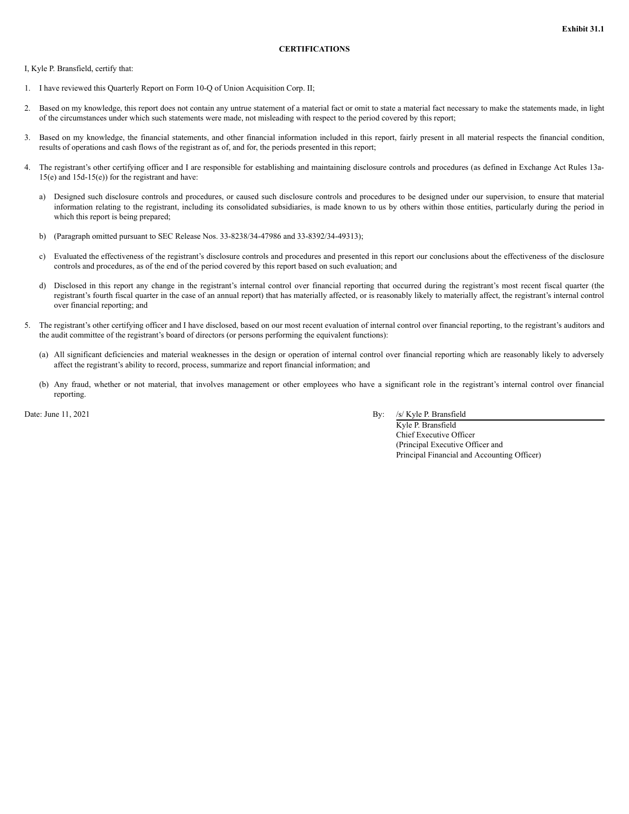#### **CERTIFICATIONS**

I, Kyle P. Bransfield, certify that:

- 1. I have reviewed this Quarterly Report on Form 10-Q of Union Acquisition Corp. II;
- 2. Based on my knowledge, this report does not contain any untrue statement of a material fact or omit to state a material fact necessary to make the statements made, in light of the circumstances under which such statements were made, not misleading with respect to the period covered by this report;
- 3. Based on my knowledge, the financial statements, and other financial information included in this report, fairly present in all material respects the financial condition, results of operations and cash flows of the registrant as of, and for, the periods presented in this report;
- 4. The registrant's other certifying officer and I are responsible for establishing and maintaining disclosure controls and procedures (as defined in Exchange Act Rules 13a- $15(e)$  and  $15d-15(e)$  for the registrant and have:
	- a) Designed such disclosure controls and procedures, or caused such disclosure controls and procedures to be designed under our supervision, to ensure that material information relating to the registrant, including its consolidated subsidiaries, is made known to us by others within those entities, particularly during the period in which this report is being prepared;
	- b) (Paragraph omitted pursuant to SEC Release Nos. 33-8238/34-47986 and 33-8392/34-49313);
	- c) Evaluated the effectiveness of the registrant's disclosure controls and procedures and presented in this report our conclusions about the effectiveness of the disclosure controls and procedures, as of the end of the period covered by this report based on such evaluation; and
	- d) Disclosed in this report any change in the registrant's internal control over financial reporting that occurred during the registrant's most recent fiscal quarter (the registrant's fourth fiscal quarter in the case of an annual report) that has materially affected, or is reasonably likely to materially affect, the registrant's internal control over financial reporting; and
- 5. The registrant's other certifying officer and I have disclosed, based on our most recent evaluation of internal control over financial reporting, to the registrant's auditors and the audit committee of the registrant's board of directors (or persons performing the equivalent functions):
	- (a) All significant deficiencies and material weaknesses in the design or operation of internal control over financial reporting which are reasonably likely to adversely affect the registrant's ability to record, process, summarize and report financial information; and
	- (b) Any fraud, whether or not material, that involves management or other employees who have a significant role in the registrant's internal control over financial reporting.

Date: June 11, 2021 By: /s/ Kyle P. Bransfield

Kyle P. Bransfield Chief Executive Officer (Principal Executive Officer and Principal Financial and Accounting Officer)